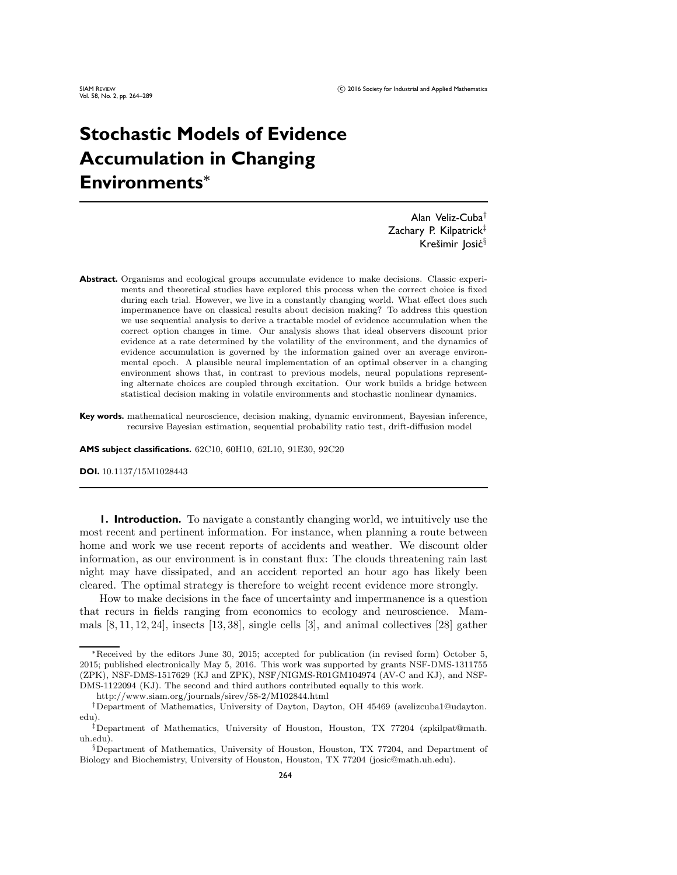## **Stochastic Models of Evidence Accumulation in Changing Environments***<sup>∗</sup>*

Alan Veliz-Cuba† Zachary P. Kilpatrick‡ Krešimir Josić<sup>§</sup>

**Abstract.** Organisms and ecological groups accumulate evidence to make decisions. Classic experiments and theoretical studies have explored this process when the correct choice is fixed during each trial. However, we live in a constantly changing world. What effect does such impermanence have on classical results about decision making? To address this question we use sequential analysis to derive a tractable model of evidence accumulation when the correct option changes in time. Our analysis shows that ideal observers discount prior evidence at a rate determined by the volatility of the environment, and the dynamics of evidence accumulation is governed by the information gained over an average environmental epoch. A plausible neural implementation of an optimal observer in a changing environment shows that, in contrast to previous models, neural populations representing alternate choices are coupled through excitation. Our work builds a bridge between statistical decision making in volatile environments and stochastic nonlinear dynamics.

**Key words.** mathematical neuroscience, decision making, dynamic environment, Bayesian inference, recursive Bayesian estimation, sequential probability ratio test, drift-diffusion model

**AMS subject classifications.** 62C10, 60H10, 62L10, 91E30, 92C20

**DOI.** 10.1137/15M1028443

**1. Introduction.** To navigate a constantly changing world, we intuitively use the most recent and pertinent information. For instance, when planning a route between home and work we use recent reports of accidents and weather. We discount older information, as our environment is in constant flux: The clouds threatening rain last night may have dissipated, and an accident reported an hour ago has likely been cleared. The optimal strategy is therefore to weight recent evidence more strongly.

How to make decisions in the face of uncertainty and impermanence is a question that recurs in fields ranging from economics to ecology and neuroscience. Mammals  $[8, 11, 12, 24]$ , insects  $[13, 38]$ , single cells  $[3]$ , and animal collectives  $[28]$  gather

<sup>∗</sup>Received by the editors June 30, 2015; accepted for publication (in revised form) October 5, 2015; published electronically May 5, 2016. This work was supported by grants NSF-DMS-1311755 (ZPK), NSF-DMS-1517629 (KJ and ZPK), NSF/NIGMS-R01GM104974 (AV-C and KJ), and NSF-DMS-1122094 (KJ). The second and third authors contributed equally to this work.

http://www.siam.org/journals/sirev/58-2/M102844.html

<sup>†</sup>Department of Mathematics, University of Dayton, Dayton, OH 45469 (avelizcuba1@udayton. edu).

<sup>‡</sup>Department of Mathematics, University of Houston, Houston, TX 77204 (zpkilpat@math. uh.edu).

 $\S$ Department of Mathematics, University of Houston, Houston, TX 77204, and Department of Biology and Biochemistry, University of Houston, Houston, TX 77204 (josic@math.uh.edu).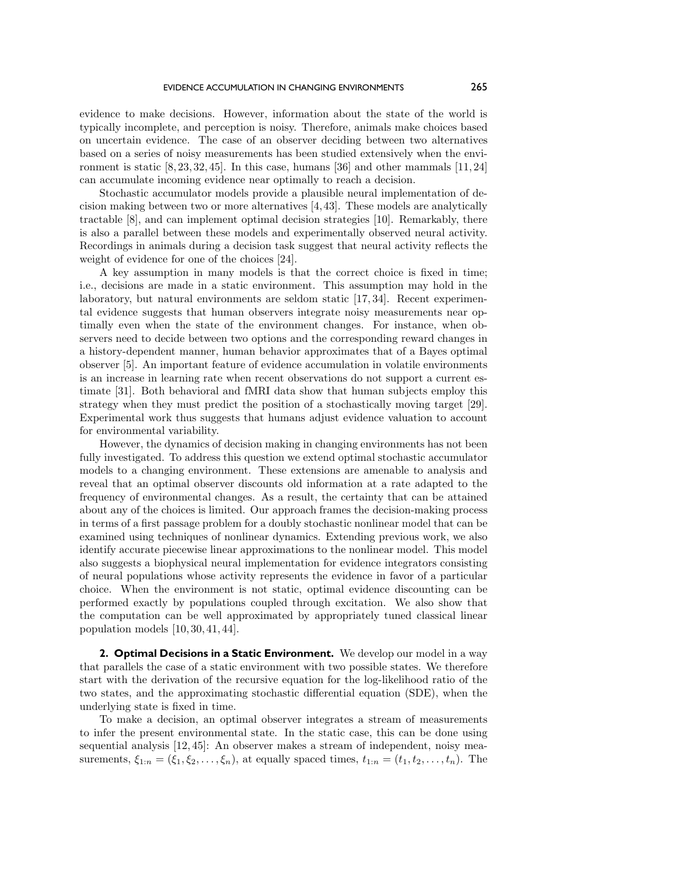evidence to make decisions. However, information about the state of the world is typically incomplete, and perception is noisy. Therefore, animals make choices based on uncertain evidence. The case of an observer deciding between two alternatives based on a series of noisy measurements has been studied extensively when the environment is static  $[8, 23, 32, 45]$ . In this case, humans  $[36]$  and other mammals  $[11, 24]$ can accumulate incoming evidence near optimally to reach a decision.

Stochastic accumulator models provide a plausible neural implementation of decision making between two or more alternatives [4, 43]. These models are analytically tractable [8], and can implement optimal decision strategies [10]. Remarkably, there is also a parallel between these models and experimentally observed neural activity. Recordings in animals during a decision task suggest that neural activity reflects the weight of evidence for one of the choices [24].

A key assumption in many models is that the correct choice is fixed in time; i.e., decisions are made in a static environment. This assumption may hold in the laboratory, but natural environments are seldom static [17, 34]. Recent experimental evidence suggests that human observers integrate noisy measurements near optimally even when the state of the environment changes. For instance, when observers need to decide between two options and the corresponding reward changes in a history-dependent manner, human behavior approximates that of a Bayes optimal observer [5]. An important feature of evidence accumulation in volatile environments is an increase in learning rate when recent observations do not support a current estimate [31]. Both behavioral and fMRI data show that human subjects employ this strategy when they must predict the position of a stochastically moving target [29]. Experimental work thus suggests that humans adjust evidence valuation to account for environmental variability.

However, the dynamics of decision making in changing environments has not been fully investigated. To address this question we extend optimal stochastic accumulator models to a changing environment. These extensions are amenable to analysis and reveal that an optimal observer discounts old information at a rate adapted to the frequency of environmental changes. As a result, the certainty that can be attained about any of the choices is limited. Our approach frames the decision-making process in terms of a first passage problem for a doubly stochastic nonlinear model that can be examined using techniques of nonlinear dynamics. Extending previous work, we also identify accurate piecewise linear approximations to the nonlinear model. This model also suggests a biophysical neural implementation for evidence integrators consisting of neural populations whose activity represents the evidence in favor of a particular choice. When the environment is not static, optimal evidence discounting can be performed exactly by populations coupled through excitation. We also show that the computation can be well approximated by appropriately tuned classical linear population models [10, 30, 41, 44].

**2. Optimal Decisions in a Static Environment.** We develop our model in a way that parallels the case of a static environment with two possible states. We therefore start with the derivation of the recursive equation for the log-likelihood ratio of the two states, and the approximating stochastic differential equation (SDE), when the underlying state is fixed in time.

To make a decision, an optimal observer integrates a stream of measurements to infer the present environmental state. In the static case, this can be done using sequential analysis [12, 45]: An observer makes a stream of independent, noisy measurements,  $\xi_{1:n} = (\xi_1, \xi_2, \dots, \xi_n)$ , at equally spaced times,  $t_{1:n} = (t_1, t_2, \dots, t_n)$ . The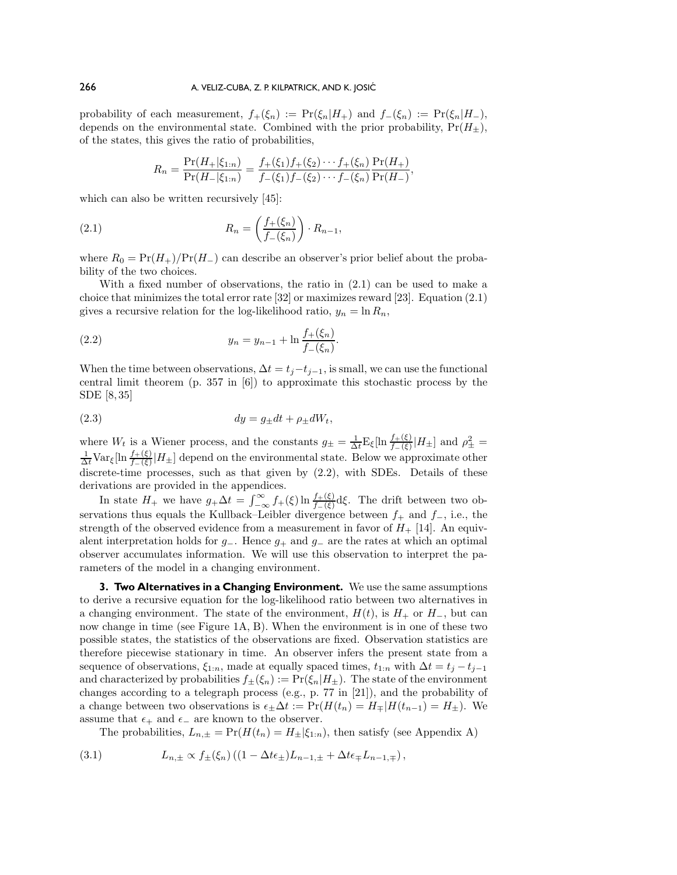probability of each measurement,  $f_+(\xi_n) := \Pr(\xi_n|H_+)$  and  $f_-(\xi_n) := \Pr(\xi_n|H_-)$ , depends on the environmental state. Combined with the prior probability,  $Pr(H_{\pm}),$ of the states, this gives the ratio of probabilities,

$$
R_n = \frac{\Pr(H_+|\xi_{1:n})}{\Pr(H_-|\xi_{1:n})} = \frac{f_+(\xi_1)f_+(\xi_2)\cdots f_+(\xi_n)}{f_-(\xi_1)f_-(\xi_2)\cdots f_-(\xi_n)} \frac{\Pr(H_+)}{\Pr(H_-)},
$$

which can also be written recursively [45]:

(2.1) 
$$
R_n = \left(\frac{f_+(\xi_n)}{f_-(\xi_n)}\right) \cdot R_{n-1},
$$

where  $R_0 = \Pr(H_+) / \Pr(H_-)$  can describe an observer's prior belief about the probability of the two choices.

With a fixed number of observations, the ratio in (2.1) can be used to make a choice that minimizes the total error rate [32] or maximizes reward [23]. Equation (2.1) gives a recursive relation for the log-likelihood ratio,  $y_n = \ln R_n$ ,

(2.2) 
$$
y_n = y_{n-1} + \ln \frac{f_+(\xi_n)}{f_-(\xi_n)}.
$$

When the time between observations,  $\Delta t = t_i - t_{i-1}$ , is small, we can use the functional central limit theorem (p. 357 in [6]) to approximate this stochastic process by the SDE [8, 35]

(2.3) 
$$
dy = g_{\pm}dt + \rho_{\pm}dW_t,
$$

where  $W_t$  is a Wiener process, and the constants  $g_{\pm} = \frac{1}{\Delta t} E_{\xi}[\ln \frac{f_{+}(\xi)}{f_{-}(\xi)} | H_{\pm}]$  and  $\rho_{\pm}^2 =$  $\frac{1}{\Delta t} \text{Var}_{\xi}[\ln \frac{f_+(\xi)}{f_-(\xi)} | H_{\pm}]$  depend on the environmental state. Below we approximate other discrete-time processes, such as that given by (2.2), with SDEs. Details of these derivations are provided in the appendices.

In state  $H_+$  we have  $g_+\Delta t = \int_{-\infty}^{\infty} f_+(\xi) \ln \frac{f_+(\xi)}{f_-(\xi)} d\xi$ . The drift between two observations thus equals the Kullback–Leibler divergence between  $f_+$  and  $f_-,$  i.e., the strength of the observed evidence from a measurement in favor of  $H_+$  [14]. An equivalent interpretation holds for  $g_-\$ . Hence  $g_+$  and  $g_-\$  are the rates at which an optimal observer accumulates information. We will use this observation to interpret the parameters of the model in a changing environment.

**3. Two Alternatives in a Changing Environment.** We use the same assumptions to derive a recursive equation for the log-likelihood ratio between two alternatives in a changing environment. The state of the environment,  $H(t)$ , is  $H_+$  or  $H_-,$  but can now change in time (see Figure 1A, B). When the environment is in one of these two possible states, the statistics of the observations are fixed. Observation statistics are therefore piecewise stationary in time. An observer infers the present state from a sequence of observations,  $\xi_{1:n}$ , made at equally spaced times,  $t_{1:n}$  with  $\Delta t = t_j - t_{j-1}$ and characterized by probabilities  $f_{\pm}(\xi_n) := \Pr(\xi_n|H_{\pm})$ . The state of the environment changes according to a telegraph process (e.g., p. 77 in [21]), and the probability of a change between two observations is  $\epsilon_{\pm}\Delta t := \Pr(H(t_n) = H_{\mp}|H(t_{n-1}) = H_{\pm})$ . We assume that  $\epsilon_+$  and  $\epsilon_-$  are known to the observer.

The probabilities,  $L_{n,\pm} = \Pr(H(t_n) = H_{\pm}|\xi_{1:n})$ , then satisfy (see Appendix A)

(3.1) 
$$
L_{n,\pm} \propto f_{\pm}(\xi_n) \left( (1 - \Delta t \epsilon_{\pm}) L_{n-1,\pm} + \Delta t \epsilon_{\mp} L_{n-1,\mp} \right),
$$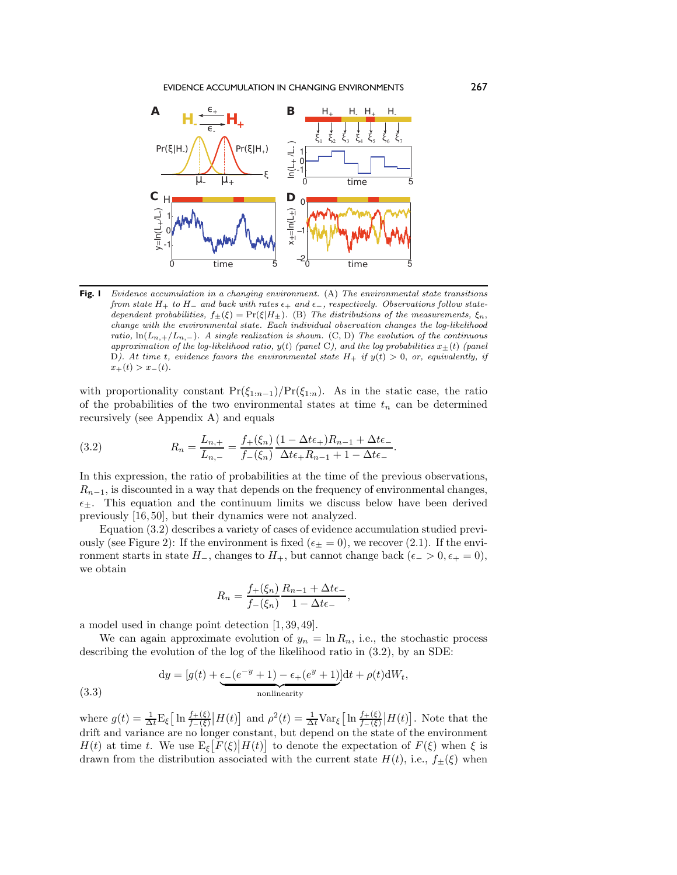EVIDENCE ACCUMULATION IN CHANGING ENVIRONMENTS 267



**Fig. 1** Evidence accumulation in a changing environment. (A) The environmental state transitions from state  $H_+$  to  $H_-$  and back with rates  $\epsilon_+$  and  $\epsilon_-$ , respectively. Observations follow state-<br>dependent probabilities  $f_+(\epsilon) = \Pr(\epsilon | H_+)$  (B) The distributions of the measurements  $\epsilon$ dependent probabilities,  $f_{\pm}(\xi) = \Pr(\xi|H_{\pm})$ . (B) The distributions of the measurements,  $\xi_n$ , change with the environmental state. Each individual observation changes the log-likelihood ratio,  $ln(L_{n,+}/L_{n,-})$ . A single realization is shown. (C, D) The evolution of the continuous approximation of the log-likelihood ratio,  $y(t)$  (panel C), and the log probabilities  $x_{\pm}(t)$  (panel D). At time t, evidence favors the environmental state  $H_+$  if  $y(t) > 0$ , or, equivalently, if  $x_{+}(t) > x_{-}(t)$ .

with proportionality constant  $Pr(\xi_{1:n-1})/Pr(\xi_{1:n})$ . As in the static case, the ratio of the probabilities of the two environmental states at time  $t_n$  can be determined recursively (see Appendix A) and equals

(3.2) 
$$
R_n = \frac{L_{n,+}}{L_{n,-}} = \frac{f_+(\xi_n)}{f_-(\xi_n)} \frac{(1 - \Delta t \epsilon_+) R_{n-1} + \Delta t \epsilon_-}{\Delta t \epsilon_+ R_{n-1} + 1 - \Delta t \epsilon_-}.
$$

In this expression, the ratio of probabilities at the time of the previous observations,  $R_{n-1}$ , is discounted in a way that depends on the frequency of environmental changes,  $\epsilon_{\pm}$ . This equation and the continuum limits we discuss below have been derived previously [16, 50], but their dynamics were not analyzed.

Equation (3.2) describes a variety of cases of evidence accumulation studied previously (see Figure 2): If the environment is fixed ( $\epsilon_{\pm} = 0$ ), we recover (2.1). If the environment starts in state  $H_-,$  changes to  $H_+$ , but cannot change back  $(\epsilon_- > 0, \epsilon_+ = 0)$ , we obtain

$$
R_n = \frac{f_+(\xi_n)}{f_-(\xi_n)} \frac{R_{n-1} + \Delta t \epsilon_-}{1 - \Delta t \epsilon_-}
$$

,

a model used in change point detection [1, 39, 49].

We can again approximate evolution of  $y_n = \ln R_n$ , i.e., the stochastic process describing the evolution of the log of the likelihood ratio in (3.2), by an SDE:

(3.3) 
$$
dy = [g(t) + \underbrace{\epsilon_{-}(e^{-y} + 1) - \epsilon_{+}(e^{y} + 1)}_{\text{nonlinearity}}]dt + \rho(t)dW_t,
$$

where  $g(t) = \frac{1}{\Delta t} E_{\xi} \left[ \ln \frac{f_{+}(\xi)}{f_{-}(\xi)} \middle| H(t) \right]$  and  $\rho^2(t) = \frac{1}{\Delta t} \text{Var}_{\xi} \left[ \ln \frac{f_{+}(\xi)}{f_{-}(\xi)} \middle| H(t) \right]$ . Note that the drift and variance are no longer constant, but depend on the state of the environment  $H(t)$  at time t. We use  $E_{\xi}[F(\xi)|H(t)]$  to denote the expectation of  $F(\xi)$  when  $\xi$  is drawn from the distribution associated with the current state  $H(t)$ , i.e.,  $f_{\pm}(\xi)$  when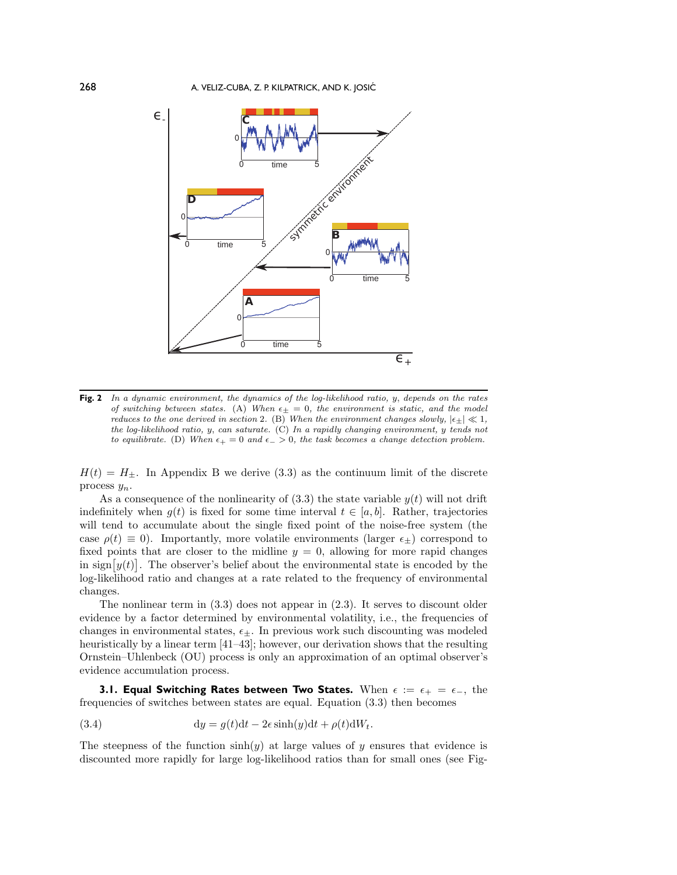

**Fig. 2** In a dynamic environment, the dynamics of the log-likelihood ratio, y, depends on the rates of switching between states. (A) When  $\epsilon_{\pm} = 0$ , the environment is static, and the model<br>reduces to the one derived in section 2. (B) When the environment changes slowly  $|\epsilon_{\pm}| \ll 1$ reduces to the one derived in section 2. (B) When the environment changes slowly,  $|\epsilon_{\pm}| \ll 1$ ,<br>the loc-likelihood ratio, u. can saturate. (C) In a rapidly changing environment, u tends not the log-likelihood ratio, y, can saturate. (C) In a rapidly changing environment, y tends not to equilibrate. (D) When  $\epsilon_+ = 0$  and  $\epsilon_- > 0$ , the task becomes a change detection problem.

 $H(t) = H_{\pm}$ . In Appendix B we derive (3.3) as the continuum limit of the discrete process  $y_n$ .

As a consequence of the nonlinearity of  $(3.3)$  the state variable  $y(t)$  will not drift indefinitely when  $q(t)$  is fixed for some time interval  $t \in [a, b]$ . Rather, trajectories will tend to accumulate about the single fixed point of the noise-free system (the case  $\rho(t) \equiv 0$ . Importantly, more volatile environments (larger  $\epsilon_{\pm}$ ) correspond to fixed points that are closer to the midline  $y = 0$ , allowing for more rapid changes in  $\text{sign}[y(t)]$ . The observer's belief about the environmental state is encoded by the log-likelihood ratio and changes at a rate related to the frequency of environmental changes.

The nonlinear term in  $(3.3)$  does not appear in  $(2.3)$ . It serves to discount older evidence by a factor determined by environmental volatility, i.e., the frequencies of changes in environmental states,  $\epsilon_{\pm}$ . In previous work such discounting was modeled heuristically by a linear term [41–43]; however, our derivation shows that the resulting Ornstein–Uhlenbeck (OU) process is only an approximation of an optimal observer's evidence accumulation process.

**3.1. Equal Switching Rates between Two States.** When  $\epsilon := \epsilon_+ = \epsilon_-,$  the frequencies of switches between states are equal. Equation (3.3) then becomes

(3.4) 
$$
dy = g(t)dt - 2\epsilon \sinh(y)dt + \rho(t)dW_t.
$$

The steepness of the function  $\sinh(y)$  at large values of y ensures that evidence is discounted more rapidly for large log-likelihood ratios than for small ones (see Fig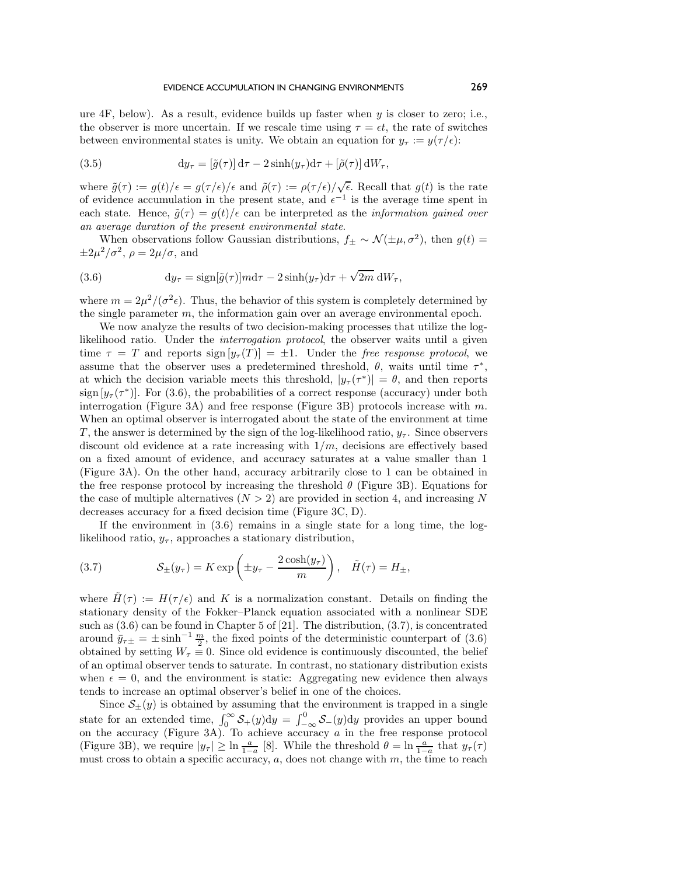ure  $4F$ , below). As a result, evidence builds up faster when y is closer to zero; i.e., the observer is more uncertain. If we rescale time using  $\tau = \epsilon t$ , the rate of switches between environmental states is unity. We obtain an equation for  $y_\tau := y(\tau/\epsilon)$ :

(3.5) 
$$
dy_{\tau} = [\tilde{g}(\tau)] d\tau - 2 \sinh(y_{\tau}) d\tau + [\tilde{\rho}(\tau)] dW_{\tau},
$$

where  $\tilde{g}(\tau) := g(t)/\epsilon = g(\tau/\epsilon)/\epsilon$  and  $\tilde{\rho}(\tau) := \rho(\tau/\epsilon)/\sqrt{\epsilon}$ . Recall that  $g(t)$  is the rate of evidence accumulation in the present state, and  $\epsilon^{-1}$  is the average time spent in each state. Hence,  $\tilde{g}(\tau) = g(t)/\epsilon$  can be interpreted as the *information gained over an average duration of the present environmental state*.

When observations follow Gaussian distributions,  $f_{\pm} \sim \mathcal{N}(\pm \mu, \sigma^2)$ , then  $g(t) =$  $\pm 2\mu^2/\sigma^2$ ,  $\rho = 2\mu/\sigma$ , and

(3.6) 
$$
dy_{\tau} = sign[\tilde{g}(\tau)]m d\tau - 2\sinh(y_{\tau})d\tau + \sqrt{2m} dW_{\tau},
$$

where  $m = 2\mu^2/(\sigma^2 \epsilon)$ . Thus, the behavior of this system is completely determined by the single parameter  $m$ , the information gain over an average environmental epoch.

We now analyze the results of two decision-making processes that utilize the loglikelihood ratio. Under the *interrogation protocol*, the observer waits until a given time  $\tau = T$  and reports sign  $[y_{\tau}(T)] = \pm 1$ . Under the *free response protocol*, we assume that the observer uses a predetermined threshold,  $\theta$ , waits until time  $\tau^*$ , at which the decision variable meets this threshold,  $|y_\tau(\tau^*)| = \theta$ , and then reports sign  $[y_\tau(\tau^*)]$ . For (3.6), the probabilities of a correct response (accuracy) under both interrogation (Figure 3A) and free response (Figure 3B) protocols increase with  $m$ . When an optimal observer is interrogated about the state of the environment at time T, the answer is determined by the sign of the log-likelihood ratio,  $y<sub>\tau</sub>$ . Since observers discount old evidence at a rate increasing with  $1/m$ , decisions are effectively based on a fixed amount of evidence, and accuracy saturates at a value smaller than 1 (Figure 3A). On the other hand, accuracy arbitrarily close to 1 can be obtained in the free response protocol by increasing the threshold  $\theta$  (Figure 3B). Equations for the case of multiple alternatives  $(N > 2)$  are provided in section 4, and increasing N decreases accuracy for a fixed decision time (Figure 3C, D).

If the environment in  $(3.6)$  remains in a single state for a long time, the loglikelihood ratio,  $y_{\tau}$ , approaches a stationary distribution,

(3.7) 
$$
\mathcal{S}_{\pm}(y_{\tau}) = K \exp\left(\pm y_{\tau} - \frac{2 \cosh(y_{\tau})}{m}\right), \quad \tilde{H}(\tau) = H_{\pm},
$$

where  $H(\tau) := H(\tau/\epsilon)$  and K is a normalization constant. Details on finding the stationary density of the Fokker–Planck equation associated with a nonlinear SDE such as (3.6) can be found in Chapter 5 of [21]. The distribution, (3.7), is concentrated around  $\bar{y}_{\tau\pm} = \pm \sinh^{-1} \frac{m}{2}$ , the fixed points of the deterministic counterpart of (3.6) obtained by setting  $W_{\tau} \equiv 0$ . Since old evidence is continuously discounted, the belief of an optimal observer tends to saturate. In contrast, no stationary distribution exists when  $\epsilon = 0$ , and the environment is static: Aggregating new evidence then always tends to increase an optimal observer's belief in one of the choices.

Since  $\mathcal{S}_{\pm}(y)$  is obtained by assuming that the environment is trapped in a single state for an extended time,  $\int_0^\infty S_+(y)dy = \int_{-\infty}^0 \mathcal{S}_-(y)dy$  provides an upper bound<br>on the accuracy (Figure 3A). To achieve accuracy a in the free response protocol (Figure 3B), we require  $|y_\tau| \geq \ln \frac{a}{1-a}$  [8]. While the threshold  $\theta = \ln \frac{a}{1-a}$  that  $y_\tau(\tau)$ must cross to obtain a specific accuracy,  $a$ , does not change with  $m$ , the time to reach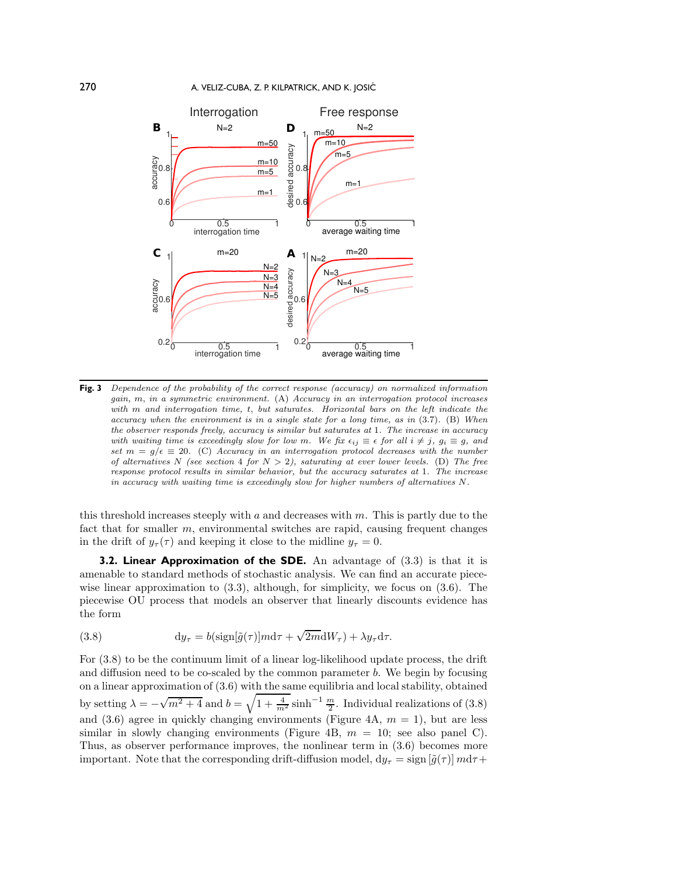

**Fig. 3** Dependence of the probability of the correct response (accuracy) on normalized information gain, m, in a symmetric environment. (A) Accuracy in an interrogation protocol increases with m and interrogation time, t, but saturates. Horizontal bars on the left indicate the accuracy when the environment is in a single state for a long time, as in (3.7). (B) When the observer responds freely, accuracy is similar but saturates at 1. The increase in accuracy with waiting time is exceedingly slow for low m. We fix  $\epsilon_{ij} \equiv \epsilon$  for all  $i \neq j$ ,  $g_i \equiv g$ , and set  $m = a/\epsilon = 20$  (C) Accuracy in an interrogation protocol decreases with the number set  $m = g/\epsilon \equiv 20$ . (C) Accuracy in an interrogation protocol decreases with the number<br>of alternatives N (see section 4 for N \ \ ) saturating at ever lower levels. (D) The free of alternatives N (see section 4 for  $N > 2$ ), saturating at ever lower levels. (D) The free response protocol results in similar behavior, but the accuracy saturates at 1. The increase in accuracy with waiting time is exceedingly slow for higher numbers of alternatives  $N$ .

this threshold increases steeply with  $a$  and decreases with  $m$ . This is partly due to the fact that for smaller m, environmental switches are rapid, causing frequent changes in the drift of  $y_\tau(\tau)$  and keeping it close to the midline  $y_\tau = 0$ .

**3.2. Linear Approximation of the SDE.** An advantage of (3.3) is that it is amenable to standard methods of stochastic analysis. We can find an accurate piecewise linear approximation to (3.3), although, for simplicity, we focus on (3.6). The piecewise OU process that models an observer that linearly discounts evidence has the form

(3.8) 
$$
dy_{\tau} = b(\text{sign}[\tilde{g}(\tau)]m d\tau + \sqrt{2m}dW_{\tau}) + \lambda y_{\tau}d\tau.
$$

For (3.8) to be the continuum limit of a linear log-likelihood update process, the drift and diffusion need to be co-scaled by the common parameter b. We begin by focusing on a linear approximation of (3.6) with the same equilibria and local stability, obtained by setting  $\lambda = -\sqrt{m^2 + 4}$  and  $b = \sqrt{1 + \frac{4}{m^2}} \sinh^{-1} \frac{m}{2}$ . Individual realizations of (3.8) and (3.6) agree in quickly changing environments (Figure 4A,  $m = 1$ ), but are less similar in slowly changing environments (Figure 4B,  $m = 10$ ; see also panel C). Thus, as observer performance improves, the nonlinear term in (3.6) becomes more important. Note that the corresponding drift-diffusion model,  $dy_{\tau} = \text{sign}(\tilde{g}(\tau)) m d\tau +$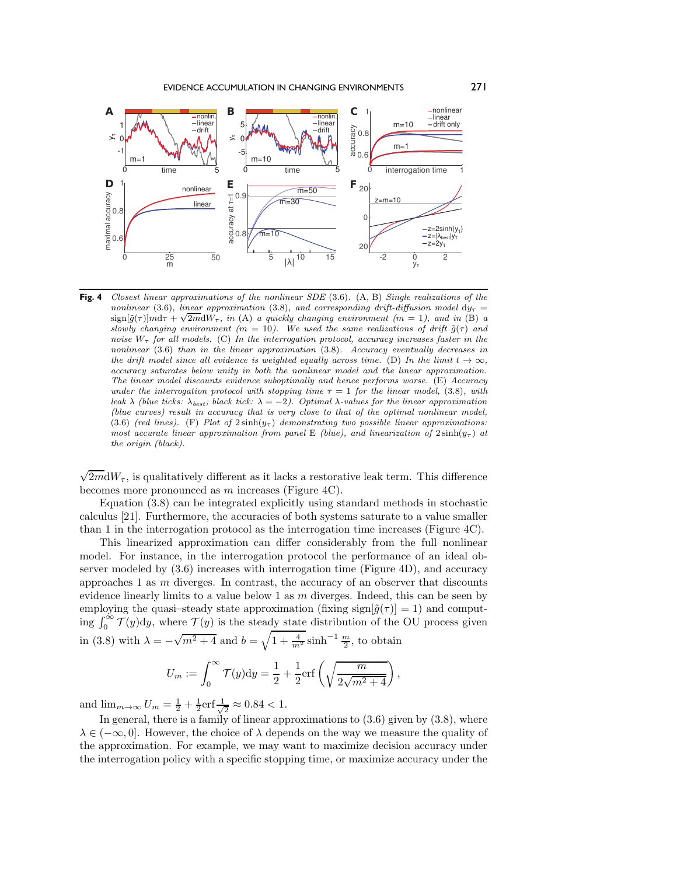

**Fig. 4** Closest linear approximations of the nonlinear SDE (3.6). (A, B) Single realizations of the nonlinear (3.6), linear approximation (3.8), and corresponding drift-diffusion model  $dy_{\tau} =$  $\sin[\tilde{q}(\tau)]m d\tau + \sqrt{2m}dW_{\tau}$ , in (A) a quickly changing environment (m = 1), and in (B) a slowly changing environment (m = 10). We used the same realizations of drift  $\tilde{g}(\tau)$  and noise  $W_{\tau}$  for all models. (C) In the interrogation protocol, accuracy increases faster in the nonlinear  $(3.6)$  than in the linear approximation  $(3.8)$ . Accuracy eventually decreases in the drift model since all evidence is weighted equally across time. (D) In the limit  $t \to \infty$ , accuracy saturates below unity in both the nonlinear model and the linear approximation. The linear model discounts evidence suboptimally and hence performs worse. (E) Accuracy under the interrogation protocol with stopping time  $\tau = 1$  for the linear model, (3.8), with leak  $\lambda$  (blue ticks:  $\lambda_{best}$ ; black tick:  $\lambda = -2$ ). Optimal  $\lambda$ -values for the linear approximation (blue curves) result in accuracy that is very close to that of the optimal nonlinear model, (3.6) (red lines). (F) Plot of  $2 \sinh(y_\tau)$  demonstrating two possible linear approximations: most accurate linear approximation from panel E (blue), and linearization of  $2\sinh(y_\tau)$  at the origin (black).

 $\sqrt{2m}dW_{\tau}$ , is qualitatively different as it lacks a restorative leak term. This difference becomes more pronounced as  $m$  increases (Figure 4C).

Equation (3.8) can be integrated explicitly using standard methods in stochastic calculus [21]. Furthermore, the accuracies of both systems saturate to a value smaller than 1 in the interrogation protocol as the interrogation time increases (Figure 4C).

This linearized approximation can differ considerably from the full nonlinear model. For instance, in the interrogation protocol the performance of an ideal observer modeled by  $(3.6)$  increases with interrogation time (Figure 4D), and accuracy approaches 1 as m diverges. In contrast, the accuracy of an observer that discounts evidence linearly limits to a value below 1 as  $m$  diverges. Indeed, this can be seen by employing the quasi–steady state approximation (fixing  $\text{sign}[\tilde{q}(\tau)]=1$ ) and computing  $\int_0^\infty \mathcal{T}(y) dy$ , where  $\mathcal{T}(y)$  is the steady state distribution of the OU process given in (3.8) with  $\lambda = -\sqrt{m^2 + 4}$  and  $b = \sqrt{1 + \frac{4}{m^2}} \sinh^{-1} \frac{m}{2}$ , to obtain

$$
U_m := \int_0^\infty \mathcal{T}(y) dy = \frac{1}{2} + \frac{1}{2} \text{erf}\left(\sqrt{\frac{m}{2\sqrt{m^2 + 4}}}\right),
$$

and  $\lim_{m \to \infty} U_m = \frac{1}{2} + \frac{1}{2} \text{erf} \frac{1}{\sqrt{2}} \approx 0.84 < 1.$ 

In general, there is a family of linear approximations to  $(3.6)$  given by  $(3.8)$ , where  $\lambda \in (-\infty, 0]$ . However, the choice of  $\lambda$  depends on the way we measure the quality of the approximation. For example, we may want to maximize decision accuracy under the interrogation policy with a specific stopping time, or maximize accuracy under the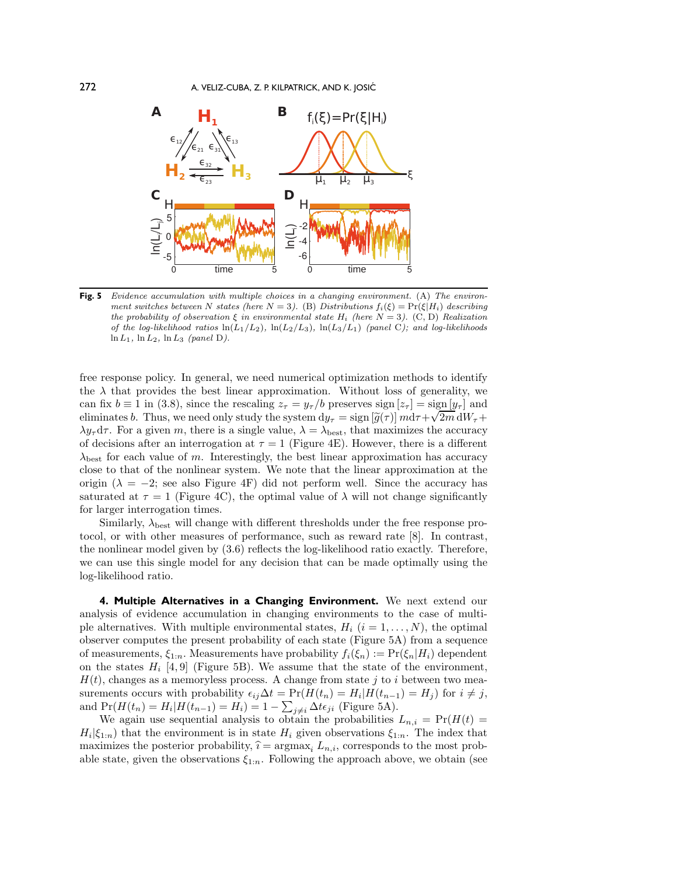

**Fig. 5** Evidence accumulation with multiple choices in a changing environment. (A) The environment switches between N states (here  $N = 3$ ). (B) Distributions  $f_i(\xi) = \Pr(\xi | H_i)$  describing the probability of observation  $\xi$  in environmental state  $H_i$  (here  $N = 3$ ). (C, D) Realization of the log-likelihood ratios  $ln(L_1/L_2)$ ,  $ln(L_2/L_3)$ ,  $ln(L_3/L_1)$  (panel C); and log-likelihoods  $\ln L_1$ ,  $\ln L_2$ ,  $\ln L_3$  (panel D).

free response policy. In general, we need numerical optimization methods to identify the  $\lambda$  that provides the best linear approximation. Without loss of generality, we can fix  $b \equiv 1$  in (3.8), since the rescaling  $z_{\tau} = y_{\tau}/b$  preserves sign  $[z_{\tau}] = \text{sign}[y_{\tau}]$  and can nx  $\theta = 1$  in (3.8), since the rescaling  $z_{\tau} = y_{\tau}/\theta$  preserves sign  $[z_{\tau}] = \text{sign}[y_{\tau}]$  and<br>eliminates b. Thus, we need only study the system  $dy_{\tau} = \text{sign}[\tilde{g}(\tau)] m d\tau + \sqrt{2m} dW_{\tau} +$ <br>and  $z_{\tau}$ . For a given m, the  $\lambda y_\tau d\tau$ . For a given m, there is a single value,  $\lambda = \lambda_{\text{best}}$ , that maximizes the accuracy of decisions after an interrogation at  $\tau = 1$  (Figure 4E). However, there is a different  $\lambda_{\text{best}}$  for each value of m. Interestingly, the best linear approximation has accuracy close to that of the nonlinear system. We note that the linear approximation at the origin ( $\lambda = -2$ ; see also Figure 4F) did not perform well. Since the accuracy has saturated at  $\tau = 1$  (Figure 4C), the optimal value of  $\lambda$  will not change significantly for larger interrogation times.

Similarly,  $\lambda_{\text{best}}$  will change with different thresholds under the free response protocol, or with other measures of performance, such as reward rate [8]. In contrast, the nonlinear model given by (3.6) reflects the log-likelihood ratio exactly. Therefore, we can use this single model for any decision that can be made optimally using the log-likelihood ratio.

**4. Multiple Alternatives in a Changing Environment.** We next extend our analysis of evidence accumulation in changing environments to the case of multiple alternatives. With multiple environmental states,  $H_i$  ( $i = 1, \ldots, N$ ), the optimal observer computes the present probability of each state (Figure 5A) from a sequence of measurements,  $\xi_{1:n}$ . Measurements have probability  $f_i(\xi_n) := \Pr(\xi_n|H_i)$  dependent on the states  $H_i$  [4, 9] (Figure 5B). We assume that the state of the environment,  $H(t)$ , changes as a memoryless process. A change from state j to i between two measurements occurs with probability  $\epsilon_{ij}\Delta t = \Pr(H(t_n) = H_i|H(t_{n-1}) = H_j)$  for  $i \neq j$ , and  $Pr(H(t_n) = H_i | H(t_{n-1}) = H_i) = 1 - \sum_{j \neq i} \Delta t \epsilon_{ji}$  (Figure 5A).

We again use sequential analysis to obtain the probabilities  $L_{n,i} = Pr(H(t))$  $H_i|\xi_{1:n}$ ) that the environment is in state  $H_i$  given observations  $\xi_{1:n}$ . The index that maximizes the posterior probability,  $\hat{i} = \text{argmax}_i L_{n,i}$ , corresponds to the most probable state, given the observations  $\xi_{1:n}$ . Following the approach above, we obtain (see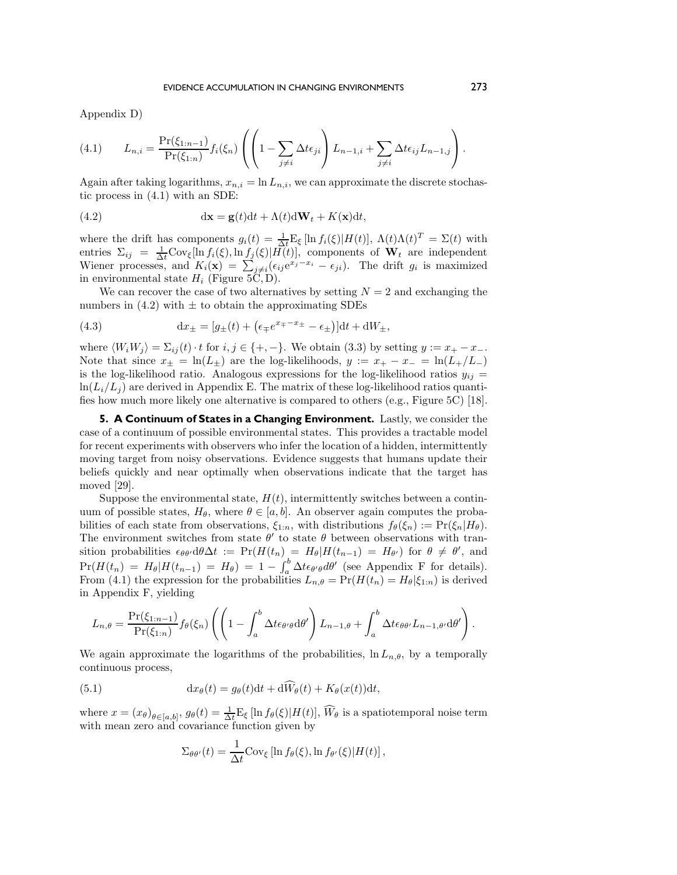Appendix D)

(4.1) 
$$
L_{n,i} = \frac{\Pr(\xi_{1:n-1})}{\Pr(\xi_{1:n})} f_i(\xi_n) \left( \left( 1 - \sum_{j \neq i} \Delta t \epsilon_{ji} \right) L_{n-1,i} + \sum_{j \neq i} \Delta t \epsilon_{ij} L_{n-1,j} \right).
$$

Again after taking logarithms,  $x_{n,i} = \ln L_{n,i}$ , we can approximate the discrete stochastic process in (4.1) with an SDE:

(4.2) 
$$
dx = g(t)dt + \Lambda(t)dW_t + K(x)dt,
$$

where the drift has components  $g_i(t) = \frac{1}{\Delta t} E_{\xi} [\ln f_i(\xi)|H(t)], \Lambda(t)\Lambda(t)^T = \Sigma(t)$  with entries  $\Sigma_{ij} = \frac{1}{\Delta t} \text{Cov}_{\xi}[\ln f_i(\xi), \ln f_j(\xi)|\vec{H}(t)],$  components of  $\mathbf{W}_t$  are independent Wiener processes and  $K(\mathbf{x}) = \sum (\epsilon_i e^{x_j - x_i} - \epsilon_i)$ . The drift a is maximized Wiener processes, and  $K_i(\mathbf{x}) = \sum_{j \neq i} (\epsilon_{ij} e^{x_j - x_i} - \epsilon_{ji})$ . The drift  $g_i$  is maximized in environmental state  $H_i$ . (Figure 5C D) in environmental state  $H_i$  (Figure 5C, D).

We can recover the case of two alternatives by setting  $N = 2$  and exchanging the numbers in  $(4.2)$  with  $\pm$  to obtain the approximating SDEs

(4.3) 
$$
dx_{\pm} = [g_{\pm}(t) + (\epsilon_{\mp}e^{x_{\mp}-x_{\pm}} - \epsilon_{\pm})]dt + dW_{\pm},
$$

where  $\langle W_i W_j \rangle = \Sigma_{ij}(t) \cdot t$  for  $i, j \in \{+, -\}.$  We obtain (3.3) by setting  $y := x_+ - x_-$ . Note that since  $x_{\pm} = \ln(L_{\pm})$  are the log-likelihoods,  $y := x_{+} - x_{-} = \ln(L_{+}/L_{-})$ is the log-likelihood ratio. Analogous expressions for the log-likelihood ratios  $y_{ij} =$  $ln(L_i/L_i)$  are derived in Appendix E. The matrix of these log-likelihood ratios quantifies how much more likely one alternative is compared to others (e.g., Figure 5C) [18].

**5. A Continuum of States in a Changing Environment.** Lastly, we consider the case of a continuum of possible environmental states. This provides a tractable model for recent experiments with observers who infer the location of a hidden, intermittently moving target from noisy observations. Evidence suggests that humans update their beliefs quickly and near optimally when observations indicate that the target has moved [29].

Suppose the environmental state,  $H(t)$ , intermittently switches between a continuum of possible states,  $H_{\theta}$ , where  $\theta \in [a, b]$ . An observer again computes the probabilities of each state from observations,  $\xi_{1:n}$ , with distributions  $f_{\theta}(\xi_n) := \Pr(\xi_n | H_{\theta}).$ The environment switches from state  $\theta'$  to state  $\theta$  between observations with transition probabilities  $\epsilon_{\theta\theta'} d\theta \Delta t := \Pr(H(t_n) = H_{\theta}|H(t_{n-1}) = H_{\theta'})$  for  $\theta \neq \theta'$ , and  $Pr(H(t_n) = H_\theta|H(t_{n-1}) = H_\theta) = 1 - \int_a^b \Delta t \epsilon_{\theta'} d\theta'$  (see Appendix F for details). From (4.1) the expression for the probabilities  $L_{n,\theta} = \Pr(H(t_n) = H_\theta | \xi_{1:n})$  is derived in Appendix F, yielding

$$
L_{n,\theta} = \frac{\Pr(\xi_{1:n-1})}{\Pr(\xi_{1:n})} f_{\theta}(\xi_n) \left( \left( 1 - \int_a^b \Delta t \epsilon_{\theta' \theta} d\theta' \right) L_{n-1,\theta} + \int_a^b \Delta t \epsilon_{\theta \theta'} L_{n-1,\theta'} d\theta' \right).
$$

We again approximate the logarithms of the probabilities,  $\ln L_{n,\theta}$ , by a temporally continuous process,

(5.1) 
$$
\mathrm{d}x_{\theta}(t) = g_{\theta}(t)\mathrm{d}t + \mathrm{d}\widehat{W}_{\theta}(t) + K_{\theta}(x(t))\mathrm{d}t,
$$

where  $x = (x_{\theta})_{\theta \in [a,b]}$ ,  $g_{\theta}(t) = \frac{1}{\Delta t} E_{\xi} [\ln f_{\theta}(\xi)|H(t)], \hat{W}_{\theta}$  is a spatiotemporal noise term with mean zero and covariance function given by

$$
\Sigma_{\theta\theta'}(t) = \frac{1}{\Delta t} \text{Cov}_{\xi} \left[ \ln f_{\theta}(\xi), \ln f_{\theta'}(\xi) | H(t) \right],
$$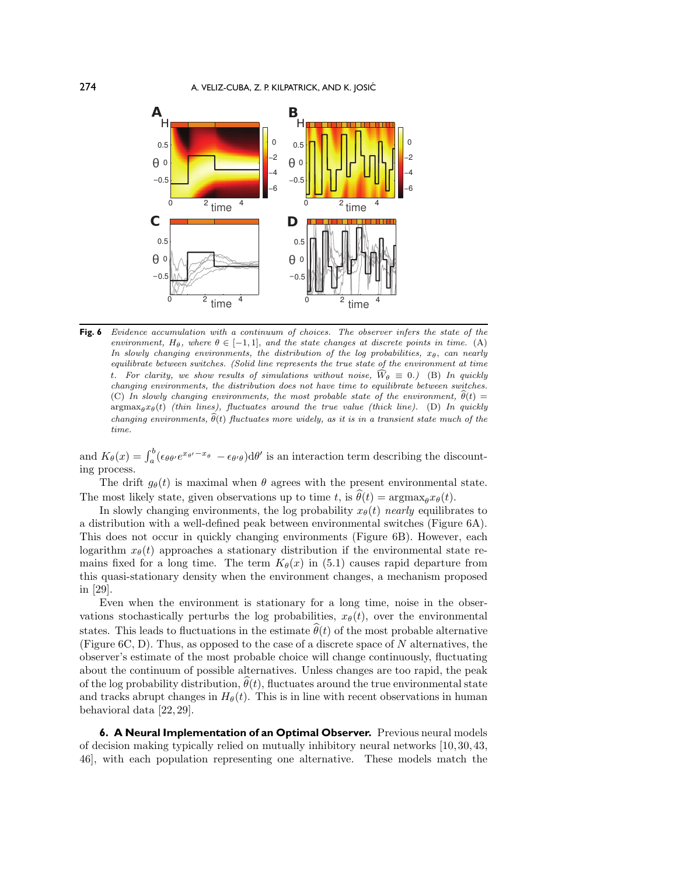

**Fig. 6** Evidence accumulation with a continuum of choices. The observer infers the state of the environment,  $H_{\theta}$ , where  $\theta \in [-1, 1]$ , and the state changes at discrete points in time. (A) In slowly changing environments, the distribution of the log probabilities,  $x_{\theta}$ , can nearly<br>caughtrate between switches. (Solid line represents the true state of the environment at time equilibrate between switches. (Solid line represents the true state of the environment at time  $t$ . For clarity, we show results of simulations without noise,  $\hat{W}_\theta \equiv 0.0$ . (B) In quickly<br>changing environments the distribution does not have time to equilibrate between switches changing environments, the distribution does not have time to equilibrate between switches.  $(C)$  In slowly changing environments, the most probable state of the environment,  $\hat{\theta}(t) =$ <br>  $\sum n \sinh u$ ,  $\hat{\theta}(t)$  (thin lines) fluctuates, around the true value (thick line)  $(D)$  In quickly  $argmax_{\theta} x_{\theta}(t)$  (thin lines), fluctuates around the true value (thick line). (D) In quickly changing environments,  $\theta(t)$  fluctuates more widely, as it is in a transient state much of the<br>time time.

and  $K_{\theta}(x) = \int_a^b (\epsilon_{\theta\theta'}e^{x_{\theta'}-x_{\theta}} - \epsilon_{\theta'\theta}) d\theta'$  is an interaction term describing the discounting process.

The drift  $g_{\theta}(t)$  is maximal when  $\theta$  agrees with the present environmental state. The most likely state, given observations up to time t, is  $\theta(t) = \arg\max_{\theta} x_{\theta}(t)$ .

In slowly changing environments, the log probability  $x_{\theta}(t)$  *nearly* equilibrates to a distribution with a well-defined peak between environmental switches (Figure 6A). This does not occur in quickly changing environments (Figure 6B). However, each logarithm  $x_{\theta}(t)$  approaches a stationary distribution if the environmental state remains fixed for a long time. The term  $K_{\theta}(x)$  in (5.1) causes rapid departure from this quasi-stationary density when the environment changes, a mechanism proposed in [29].

Even when the environment is stationary for a long time, noise in the observations stochastically perturbs the log probabilities,  $x_{\theta}(t)$ , over the environmental states. This leads to fluctuations in the estimate  $\theta(t)$  of the most probable alternative (Figure 6C, D). Thus, as opposed to the case of a discrete space of  $N$  alternatives, the observer's estimate of the most probable choice will change continuously, fluctuating about the continuum of possible alternatives. Unless changes are too rapid, the peak of the log probability distribution,  $\theta(t)$ , fluctuates around the true environmental state and tracks abrupt changes in  $H_{\theta}(t)$ . This is in line with recent observations in human behavioral data [22, 29].

**6. A Neural Implementation of an Optimal Observer.** Previous neural models of decision making typically relied on mutually inhibitory neural networks [10, 30, 43, 46], with each population representing one alternative. These models match the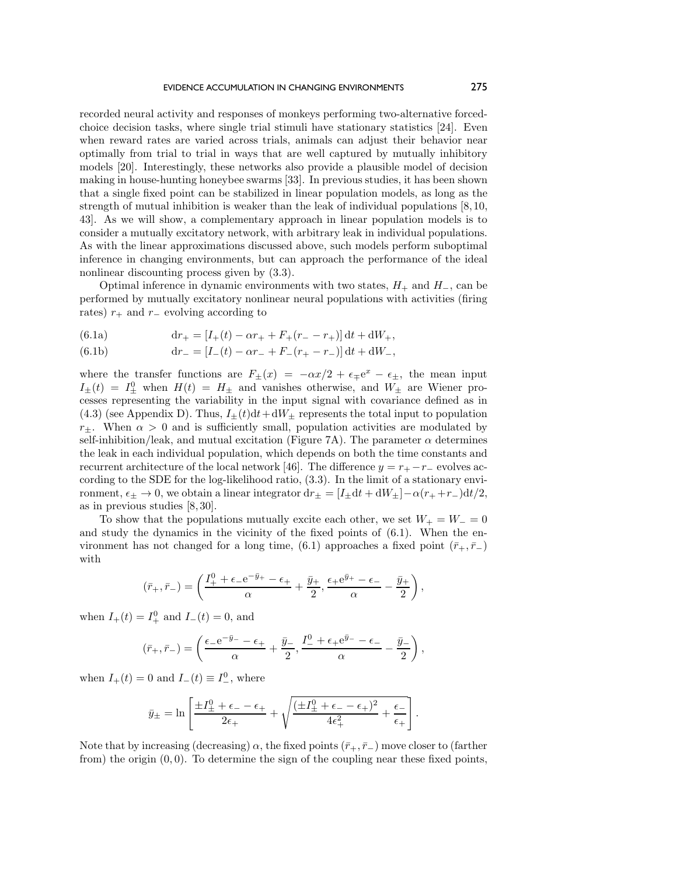recorded neural activity and responses of monkeys performing two-alternative forcedchoice decision tasks, where single trial stimuli have stationary statistics [24]. Even when reward rates are varied across trials, animals can adjust their behavior near optimally from trial to trial in ways that are well captured by mutually inhibitory models [20]. Interestingly, these networks also provide a plausible model of decision making in house-hunting honeybee swarms [33]. In previous studies, it has been shown that a single fixed point can be stabilized in linear population models, as long as the strength of mutual inhibition is weaker than the leak of individual populations [8, 10, 43]. As we will show, a complementary approach in linear population models is to consider a mutually excitatory network, with arbitrary leak in individual populations. As with the linear approximations discussed above, such models perform suboptimal inference in changing environments, but can approach the performance of the ideal nonlinear discounting process given by (3.3).

Optimal inference in dynamic environments with two states,  $H_+$  and  $H_-,$  can be performed by mutually excitatory nonlinear neural populations with activities (firing rates)  $r_+$  and  $r_-$  evolving according to

(6.1a) 
$$
dr_{+} = [I_{+}(t) - \alpha r_{+} + F_{+}(r_{-} - r_{+})] dt + dW_{+},
$$

(6.1b) 
$$
dr_{-} = [I_{-}(t) - \alpha r_{-} + F_{-}(r_{+} - r_{-})] dt + dW_{-},
$$

where the transfer functions are  $F_{\pm}(x) = -\alpha x/2 + \epsilon_{\mp} e^x - \epsilon_{\pm}$ , the mean input  $I_{\pm}(t) = I_{\pm}^{0}$  when  $H(t) = H_{\pm}$  and vanishes otherwise, and  $W_{\pm}$  are Wiener processes representing the variability in the input signal with covariance defined as in (4.3) (see Appendix D). Thus,  $I_{\pm}(t)dt + dW_{\pm}$  represents the total input to population  $r_{\pm}$ . When  $\alpha > 0$  and is sufficiently small, population activities are modulated by self-inhibition/leak, and mutual excitation (Figure 7A). The parameter  $\alpha$  determines the leak in each individual population, which depends on both the time constants and recurrent architecture of the local network [46]. The difference  $y = r_{+} - r_{-}$  evolves according to the SDE for the log-likelihood ratio, (3.3). In the limit of a stationary environment,  $\epsilon_{\pm} \to 0$ , we obtain a linear integrator  $dr_{\pm} = [I_{\pm} dt + dW_{\pm}] - \alpha (r_{+} + r_{-}) dt/2$ , as in previous studies [8, 30].

To show that the populations mutually excite each other, we set  $W_+ = W_- = 0$ and study the dynamics in the vicinity of the fixed points of  $(6.1)$ . When the environment has not changed for a long time, (6.1) approaches a fixed point  $(\bar{r}_+,\bar{r}_-)$ with

$$
(\bar{r}_{+},\bar{r}_{-})=\left(\frac{I_{+}^{0}+\epsilon_{-}e^{-\bar{y}_{+}}-\epsilon_{+}}{\alpha}+\frac{\bar{y}_{+}}{2},\frac{\epsilon_{+}e^{\bar{y}_{+}}-\epsilon_{-}}{\alpha}-\frac{\bar{y}_{+}}{2}\right),\,
$$

when  $I_+(t) = I_+^0$  and  $I_-(t) = 0$ , and

$$
(\bar{r}_{+}, \bar{r}_{-}) = \left(\frac{\epsilon_{-}e^{-\bar{y}_{-}} - \epsilon_{+}}{\alpha} + \frac{\bar{y}_{-}}{2}, \frac{I^{0}_{-} + \epsilon_{+}e^{\bar{y}_{-}} - \epsilon_{-}}{\alpha} - \frac{\bar{y}_{-}}{2}\right),
$$

when  $I_+(t) = 0$  and  $I_-(t) \equiv I^0_-,$  where

$$
\bar{y}_{\pm} = \ln \left[ \frac{\pm I_{\pm}^0 + \epsilon_- - \epsilon_+}{2\epsilon_+} + \sqrt{ \frac{(\pm I_{\pm}^0 + \epsilon_- - \epsilon_+)^2}{4\epsilon_+^2} + \frac{\epsilon_-}{\epsilon_+}} \right].
$$

Note that by increasing (decreasing)  $\alpha$ , the fixed points  $(\bar{r}_+,\bar{r}_-)$  move closer to (farther from) the origin  $(0, 0)$ . To determine the sign of the coupling near these fixed points,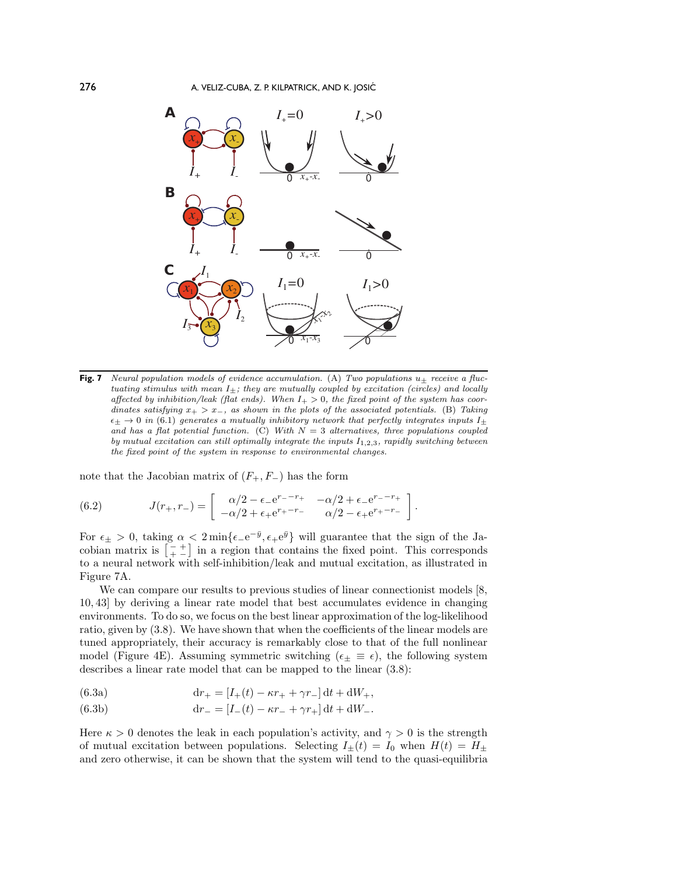

**Fig. 7** Neural population models of evidence accumulation. (A) Two populations  $u_{\pm}$  receive a fluctuating stimulus with mean  $I_{\pm}$ ; they are mutually coupled by excitation (circles) and locally affected by inhibition/leak (flat ends). When  $I_+ > 0$ , the fixed point of the system has coordinates satisfying  $x_+ > x_-$ , as shown in the plots of the associated potentials. (B) Taking and has a flat potential function. (C) With  $N = 3$  alternatives, three populations coupled<br>by mutual excitation can still optimally integrate the inputs  $I_{1,2,2}$ , rapidly switching between  $\epsilon_{\pm} \rightarrow 0$  in (6.1) generates a mutually inhibitory network that perfectly integrates inputs  $I_{\pm}$ by mutual excitation can still optimally integrate the inputs  $I_{1,2,3}$ , rapidly switching between the fixed point of the system in response to environmental changes.

note that the Jacobian matrix of  $(F_+, F_-)$  has the form

(6.2) 
$$
J(r_+,r_-)=\begin{bmatrix} \alpha/2-\epsilon_{-}e^{r_{-}-r_{+}} & -\alpha/2+\epsilon_{-}e^{r_{-}-r_{+}}\\ -\alpha/2+\epsilon_{+}e^{r_{+}-r_{-}} & \alpha/2-\epsilon_{+}e^{r_{+}-r_{-}} \end{bmatrix}.
$$

For  $\epsilon_{\pm} > 0$ , taking  $\alpha < 2 \min\{\epsilon_{-}e^{-\bar{y}}, \epsilon_{+}e^{\bar{y}}\}\$  will guarantee that the sign of the Jacobian matrix is  $\begin{bmatrix} - & + \\ + & - \end{bmatrix}$  in a region that contains the fixed point. This corresponds to a neural network with self-inhibition/leak and mutual excitation, as illustrated in Figure 7A.

We can compare our results to previous studies of linear connectionist models [8, 10, 43] by deriving a linear rate model that best accumulates evidence in changing environments. To do so, we focus on the best linear approximation of the log-likelihood ratio, given by (3.8). We have shown that when the coefficients of the linear models are tuned appropriately, their accuracy is remarkably close to that of the full nonlinear model (Figure 4E). Assuming symmetric switching ( $\epsilon_{\pm} \equiv \epsilon$ ), the following system describes a linear rate model that can be mapped to the linear (3.8):

(6.3a) 
$$
dr_{+} = [I_{+}(t) - \kappa r_{+} + \gamma r_{-}] dt + dW_{+},
$$

(6.3b) 
$$
dr_{-} = [I_{-}(t) - \kappa r_{-} + \gamma r_{+}] dt + dW_{-}.
$$

Here  $\kappa > 0$  denotes the leak in each population's activity, and  $\gamma > 0$  is the strength of mutual excitation between populations. Selecting  $I_{\pm}(t) = I_0$  when  $H(t) = H_{\pm}$ and zero otherwise, it can be shown that the system will tend to the quasi-equilibria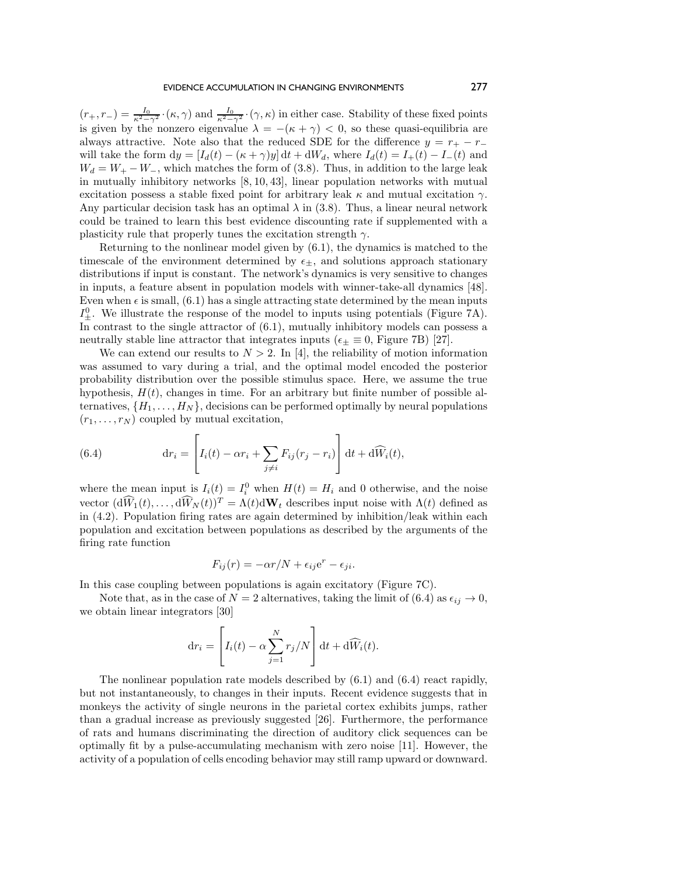$(r_+, r_-) = \frac{I_0}{\kappa^2 - \gamma^2} \cdot (\kappa, \gamma)$  and  $\frac{I_0}{\kappa^2 - \gamma^2} \cdot (\gamma, \kappa)$  in either case. Stability of these fixed points is given by the nonzero eigenvalue  $\lambda = -(\kappa + \gamma) < 0$ , so these quasi-equilibria are always attractive. Note also that the reduced SDE for the difference  $y = r_+ - r_$ will take the form  $dy = [I_d(t) - (\kappa + \gamma)y] dt + dW_d$ , where  $I_d(t) = I_+(t) - I_-(t)$  and  $W_d = W_+ - W_-,$  which matches the form of (3.8). Thus, in addition to the large leak in mutually inhibitory networks [8, 10, 43], linear population networks with mutual excitation possess a stable fixed point for arbitrary leak  $\kappa$  and mutual excitation  $\gamma$ . Any particular decision task has an optimal  $\lambda$  in (3.8). Thus, a linear neural network could be trained to learn this best evidence discounting rate if supplemented with a plasticity rule that properly tunes the excitation strength  $\gamma$ .

Returning to the nonlinear model given by (6.1), the dynamics is matched to the timescale of the environment determined by  $\epsilon_{\pm}$ , and solutions approach stationary distributions if input is constant. The network's dynamics is very sensitive to changes in inputs, a feature absent in population models with winner-take-all dynamics [48]. Even when  $\epsilon$  is small, (6.1) has a single attracting state determined by the mean inputs  $I_{\pm}^{0}$ . We illustrate the response of the model to inputs using potentials (Figure 7A). In contrast to the single attractor of  $(6.1)$ , mutually inhibitory models can possess a neutrally stable line attractor that integrates inputs ( $\epsilon_{\pm} \equiv 0$ , Figure 7B) [27].

We can extend our results to  $N > 2$ . In [4], the reliability of motion information was assumed to vary during a trial, and the optimal model encoded the posterior probability distribution over the possible stimulus space. Here, we assume the true hypothesis,  $H(t)$ , changes in time. For an arbitrary but finite number of possible alternatives,  $\{H_1,\ldots,H_N\}$ , decisions can be performed optimally by neural populations  $(r_1,\ldots,r_N)$  coupled by mutual excitation,

(6.4) 
$$
\mathrm{d}r_i = \left[I_i(t) - \alpha r_i + \sum_{j \neq i} F_{ij}(r_j - r_i)\right] \mathrm{d}t + \mathrm{d}\widehat{W}_i(t),
$$

where the mean input is  $I_i(t) = I_i^0$  when  $H(t) = H_i$  and 0 otherwise, and the noise vector  $(\mathrm{d}\widehat{W}_1(t),\ldots,\mathrm{d}\widehat{W}_N(t))^T = \Lambda(t)\mathrm{d}\mathbf{W}_t$  describes input noise with  $\Lambda(t)$  defined as in (4.2). Population firing rates are again determined by inhibition/leak within each population and excitation between populations as described by the arguments of the firing rate function

$$
F_{ij}(r) = -\alpha r/N + \epsilon_{ij} e^r - \epsilon_{ji}.
$$

In this case coupling between populations is again excitatory (Figure 7C).

Note that, as in the case of  $N = 2$  alternatives, taking the limit of (6.4) as  $\epsilon_{ij} \rightarrow 0$ , we obtain linear integrators [30]

$$
dr_i = \left[I_i(t) - \alpha \sum_{j=1}^{N} r_j/N\right] dt + d\widehat{W}_i(t).
$$

The nonlinear population rate models described by (6.1) and (6.4) react rapidly, but not instantaneously, to changes in their inputs. Recent evidence suggests that in monkeys the activity of single neurons in the parietal cortex exhibits jumps, rather than a gradual increase as previously suggested [26]. Furthermore, the performance of rats and humans discriminating the direction of auditory click sequences can be optimally fit by a pulse-accumulating mechanism with zero noise [11]. However, the activity of a population of cells encoding behavior may still ramp upward or downward.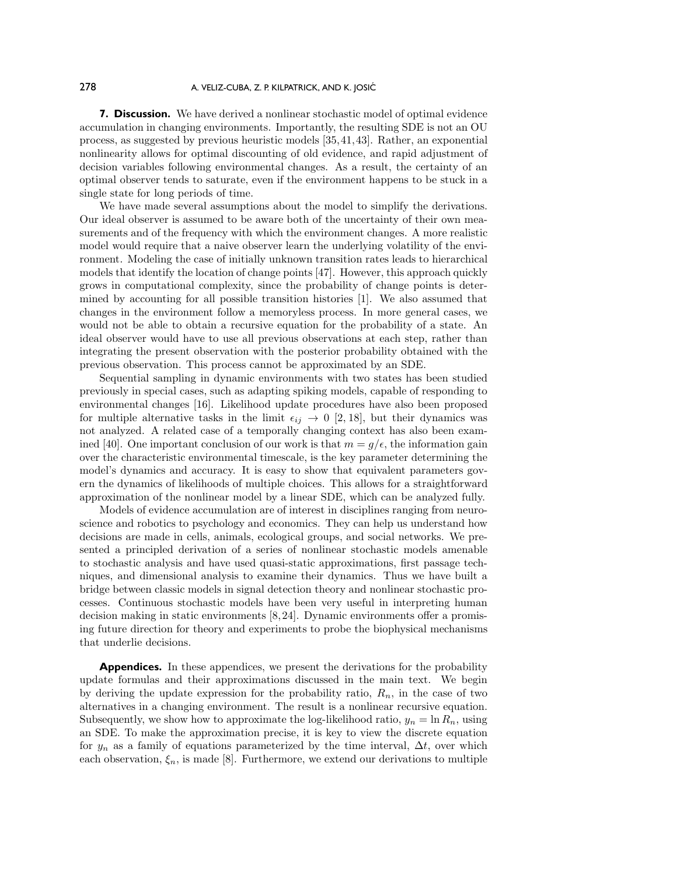**7. Discussion.** We have derived a nonlinear stochastic model of optimal evidence accumulation in changing environments. Importantly, the resulting SDE is not an OU process, as suggested by previous heuristic models [35,41,43]. Rather, an exponential nonlinearity allows for optimal discounting of old evidence, and rapid adjustment of decision variables following environmental changes. As a result, the certainty of an optimal observer tends to saturate, even if the environment happens to be stuck in a single state for long periods of time.

We have made several assumptions about the model to simplify the derivations. Our ideal observer is assumed to be aware both of the uncertainty of their own measurements and of the frequency with which the environment changes. A more realistic model would require that a naive observer learn the underlying volatility of the environment. Modeling the case of initially unknown transition rates leads to hierarchical models that identify the location of change points [47]. However, this approach quickly grows in computational complexity, since the probability of change points is determined by accounting for all possible transition histories [1]. We also assumed that changes in the environment follow a memoryless process. In more general cases, we would not be able to obtain a recursive equation for the probability of a state. An ideal observer would have to use all previous observations at each step, rather than integrating the present observation with the posterior probability obtained with the previous observation. This process cannot be approximated by an SDE.

Sequential sampling in dynamic environments with two states has been studied previously in special cases, such as adapting spiking models, capable of responding to environmental changes [16]. Likelihood update procedures have also been proposed for multiple alternative tasks in the limit  $\epsilon_{ij} \rightarrow 0$  [2, 18], but their dynamics was not analyzed. A related case of a temporally changing context has also been examined [40]. One important conclusion of our work is that  $m = g/\epsilon$ , the information gain over the characteristic environmental timescale, is the key parameter determining the model's dynamics and accuracy. It is easy to show that equivalent parameters govern the dynamics of likelihoods of multiple choices. This allows for a straightforward approximation of the nonlinear model by a linear SDE, which can be analyzed fully.

Models of evidence accumulation are of interest in disciplines ranging from neuroscience and robotics to psychology and economics. They can help us understand how decisions are made in cells, animals, ecological groups, and social networks. We presented a principled derivation of a series of nonlinear stochastic models amenable to stochastic analysis and have used quasi-static approximations, first passage techniques, and dimensional analysis to examine their dynamics. Thus we have built a bridge between classic models in signal detection theory and nonlinear stochastic processes. Continuous stochastic models have been very useful in interpreting human decision making in static environments [8, 24]. Dynamic environments offer a promising future direction for theory and experiments to probe the biophysical mechanisms that underlie decisions.

**Appendices.** In these appendices, we present the derivations for the probability update formulas and their approximations discussed in the main text. We begin by deriving the update expression for the probability ratio,  $R_n$ , in the case of two alternatives in a changing environment. The result is a nonlinear recursive equation. Subsequently, we show how to approximate the log-likelihood ratio,  $y_n = \ln R_n$ , using an SDE. To make the approximation precise, it is key to view the discrete equation for  $y_n$  as a family of equations parameterized by the time interval,  $\Delta t$ , over which each observation,  $\xi_n$ , is made [8]. Furthermore, we extend our derivations to multiple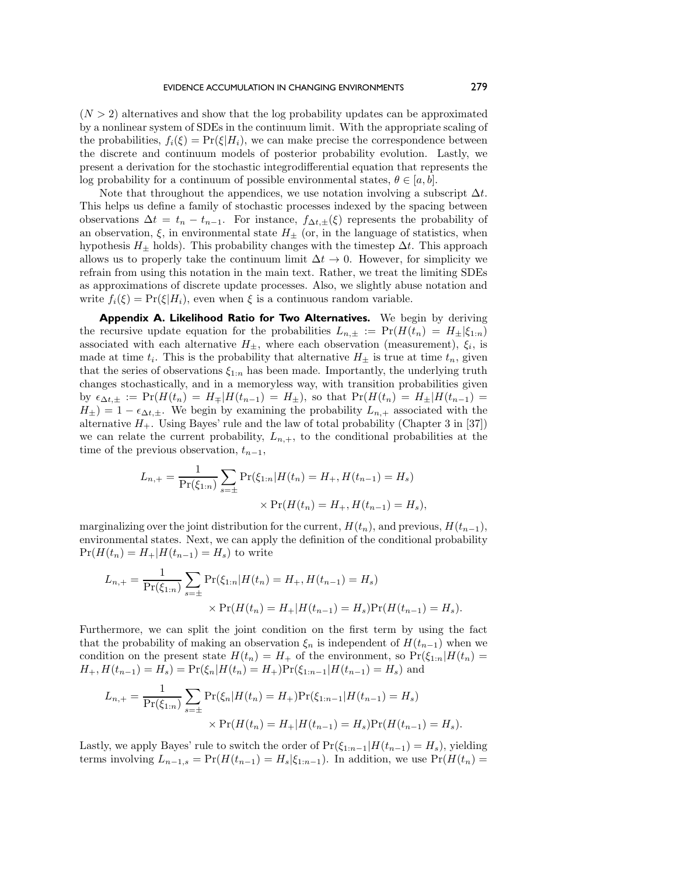$(N > 2)$  alternatives and show that the log probability updates can be approximated by a nonlinear system of SDEs in the continuum limit. With the appropriate scaling of the probabilities,  $f_i(\xi) = \Pr(\xi|H_i)$ , we can make precise the correspondence between the discrete and continuum models of posterior probability evolution. Lastly, we present a derivation for the stochastic integrodifferential equation that represents the log probability for a continuum of possible environmental states,  $\theta \in [a, b]$ .

Note that throughout the appendices, we use notation involving a subscript  $\Delta t$ . This helps us define a family of stochastic processes indexed by the spacing between observations  $\Delta t = t_n - t_{n-1}$ . For instance,  $f_{\Delta t,\pm}(\xi)$  represents the probability of an observation,  $\xi$ , in environmental state  $H_{\pm}$  (or, in the language of statistics, when hypothesis  $H_{\pm}$  holds). This probability changes with the timestep  $\Delta t$ . This approach allows us to properly take the continuum limit  $\Delta t \rightarrow 0$ . However, for simplicity we refrain from using this notation in the main text. Rather, we treat the limiting SDEs as approximations of discrete update processes. Also, we slightly abuse notation and write  $f_i(\xi) = \Pr(\xi | H_i)$ , even when  $\xi$  is a continuous random variable.

**Appendix A. Likelihood Ratio for Two Alternatives.** We begin by deriving the recursive update equation for the probabilities  $L_{n,\pm} := \Pr(H(t_n) = H_{\pm}|\xi_{1:n})$ associated with each alternative  $H_{\pm}$ , where each observation (measurement),  $\xi_i$ , is made at time  $t_i$ . This is the probability that alternative  $H_{\pm}$  is true at time  $t_n$ , given that the series of observations  $\xi_{1:n}$  has been made. Importantly, the underlying truth changes stochastically, and in a memoryless way, with transition probabilities given by  $\epsilon_{\Delta t, \pm} := \Pr(H(t_n) = H_{\mp}|H(t_{n-1}) = H_{\pm}),$  so that  $\Pr(H(t_n) = H_{\pm}|H(t_{n-1}) =$  $H_{\pm})=1 - \epsilon_{\Delta t,\pm}$ . We begin by examining the probability  $L_{n,+}$  associated with the alternative  $H_+$ . Using Bayes' rule and the law of total probability (Chapter 3 in [37]) we can relate the current probability,  $L_{n,+}$ , to the conditional probabilities at the time of the previous observation,  $t_{n-1}$ ,

$$
L_{n,+} = \frac{1}{\Pr(\xi_{1:n})} \sum_{s=\pm} \Pr(\xi_{1:n}|H(t_n) = H_+, H(t_{n-1}) = H_s)
$$
  
 
$$
\times \Pr(H(t_n) = H_+, H(t_{n-1}) = H_s),
$$

marginalizing over the joint distribution for the current,  $H(t_n)$ , and previous,  $H(t_{n-1})$ , environmental states. Next, we can apply the definition of the conditional probability  $Pr(H(t_n) = H_+|H(t_{n-1}) = H_s)$  to write

$$
L_{n,+} = \frac{1}{\Pr(\xi_{1:n})} \sum_{s=\pm} \Pr(\xi_{1:n}|H(t_n) = H_+, H(t_{n-1}) = H_s)
$$
  
 
$$
\times \Pr(H(t_n) = H_+|H(t_{n-1}) = H_s)\Pr(H(t_{n-1}) = H_s).
$$

Furthermore, we can split the joint condition on the first term by using the fact that the probability of making an observation  $\xi_n$  is independent of  $H(t_{n-1})$  when we condition on the present state  $H(t_n) = H_+$  of the environment, so  $Pr(\xi_{1:n}|H(t_n) =$  $H_+, H(t_{n-1}) = H_s$ ) = Pr( $\xi_n|H(t_n) = H_+$ )Pr( $\xi_{1:n-1}|H(t_{n-1}) = H_s$ ) and

$$
L_{n,+} = \frac{1}{\Pr(\xi_{1:n})} \sum_{s=\pm} \Pr(\xi_n | H(t_n) = H_+) \Pr(\xi_{1:n-1} | H(t_{n-1}) = H_s)
$$
  
 
$$
\times \Pr(H(t_n) = H_+ | H(t_{n-1}) = H_s) \Pr(H(t_{n-1}) = H_s).
$$

Lastly, we apply Bayes' rule to switch the order of  $Pr(\xi_{1:n-1}|H(t_{n-1}) = H_s)$ , yielding terms involving  $L_{n-1,s} = \Pr(H(t_{n-1}) = H_s | \xi_{1:n-1})$ . In addition, we use  $\Pr(H(t_n) =$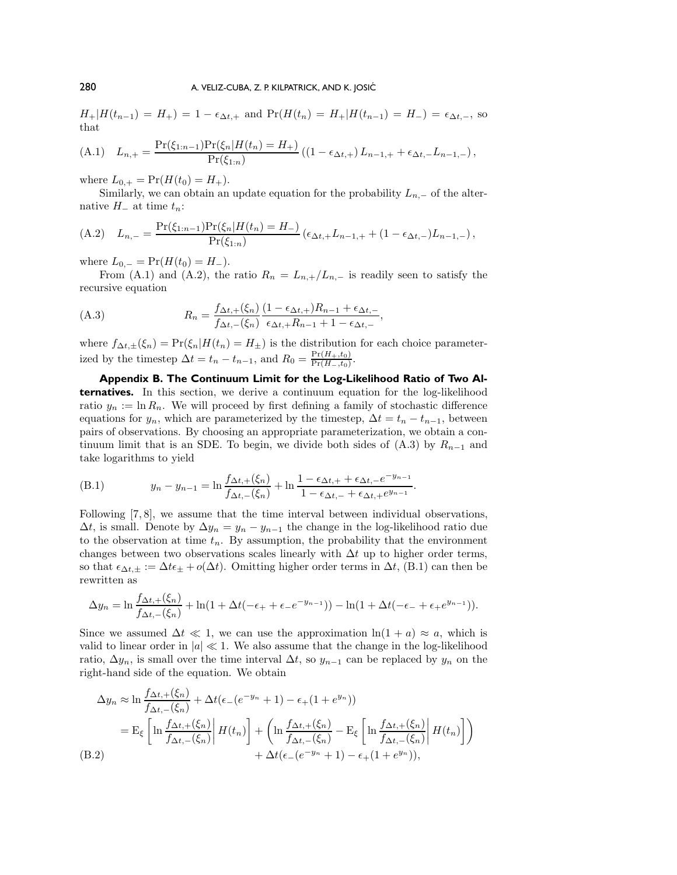$H_+|H(t_{n-1}) = H_+)=1 - \epsilon_{\Delta t,+}$  and  $Pr(H(t_n) = H_+|H(t_{n-1}) = H_-) = \epsilon_{\Delta t,-}$ , so that

(A.1) 
$$
L_{n,+} = \frac{\Pr(\xi_{1:n-1}) \Pr(\xi_n | H(t_n) = H_+)}{\Pr(\xi_{1:n})} \left( (1 - \epsilon_{\Delta t,+}) L_{n-1,+} + \epsilon_{\Delta t,-} L_{n-1,-} \right),
$$

where  $L_{0,+} = Pr(H(t_0) = H_+).$ 

Similarly, we can obtain an update equation for the probability  $L_{n,-}$  of the alternative  $H_$  at time  $t_n$ :

(A.2) 
$$
L_{n,-} = \frac{\Pr(\xi_{1:n-1}) \Pr(\xi_n | H(t_n) = H_-)}{\Pr(\xi_{1:n})} (\epsilon_{\Delta t,+} L_{n-1,+} + (1 - \epsilon_{\Delta t,-}) L_{n-1,-}),
$$

where  $L_{0,-} = Pr(H(t_0) = H_-.$ 

From (A.1) and (A.2), the ratio  $R_n = L_{n,+}/L_{n,-}$  is readily seen to satisfy the recursive equation

(A.3) 
$$
R_n = \frac{f_{\Delta t,+}(\xi_n)}{f_{\Delta t,-}(\xi_n)} \frac{(1 - \epsilon_{\Delta t,+})R_{n-1} + \epsilon_{\Delta t,-}}{\epsilon_{\Delta t,+}R_{n-1} + 1 - \epsilon_{\Delta t,-}},
$$

where  $f_{\Delta t,\pm}(\xi_n) = \Pr(\xi_n | H(t_n) = H_{\pm})$  is the distribution for each choice parameterized by the timestep  $\Delta t = t_n - t_{n-1}$ , and  $R_0 = \frac{\Pr(H_+, t_0)}{\Pr(H_-, t_0)}$ .

**Appendix B. The Continuum Limit for the Log-Likelihood Ratio of Two Alternatives.** In this section, we derive a continuum equation for the log-likelihood ratio  $y_n := \ln R_n$ . We will proceed by first defining a family of stochastic difference equations for  $y_n$ , which are parameterized by the timestep,  $\Delta t = t_n - t_{n-1}$ , between pairs of observations. By choosing an appropriate parameterization, we obtain a continuum limit that is an SDE. To begin, we divide both sides of  $(A.3)$  by  $R_{n-1}$  and take logarithms to yield

(B.1) 
$$
y_n - y_{n-1} = \ln \frac{f_{\Delta t,+}(\xi_n)}{f_{\Delta t,-}(\xi_n)} + \ln \frac{1 - \epsilon_{\Delta t,+} + \epsilon_{\Delta t,-}e^{-y_{n-1}}}{1 - \epsilon_{\Delta t,-} + \epsilon_{\Delta t,+}e^{y_{n-1}}}.
$$

Following [7, 8], we assume that the time interval between individual observations,  $\Delta t$ , is small. Denote by  $\Delta y_n = y_n - y_{n-1}$  the change in the log-likelihood ratio due to the observation at time  $t_n$ . By assumption, the probability that the environment changes between two observations scales linearly with  $\Delta t$  up to higher order terms, so that  $\epsilon_{\Delta t,\pm} := \Delta t \epsilon_{\pm} + o(\Delta t)$ . Omitting higher order terms in  $\Delta t$ , (B.1) can then be rewritten as

$$
\Delta y_n = \ln \frac{f_{\Delta t,+}(\xi_n)}{f_{\Delta t,-}(\xi_n)} + \ln(1 + \Delta t(-\epsilon_+ + \epsilon_- e^{-y_{n-1}})) - \ln(1 + \Delta t(-\epsilon_- + \epsilon_+ e^{y_{n-1}})).
$$

Since we assumed  $\Delta t \ll 1$ , we can use the approximation  $\ln(1 + a) \approx a$ , which is valid to linear order in  $|a| \ll 1$ . We also assume that the change in the log-likelihood ratio,  $\Delta y_n$ , is small over the time interval  $\Delta t$ , so  $y_{n-1}$  can be replaced by  $y_n$  on the right-hand side of the equation. We obtain

$$
\Delta y_n \approx \ln \frac{f_{\Delta t,+}(\xi_n)}{f_{\Delta t,-}(\xi_n)} + \Delta t (\epsilon_-(e^{-y_n} + 1) - \epsilon_+(1 + e^{y_n}))
$$
  
=  $\mathbf{E}_{\xi} \left[ \ln \frac{f_{\Delta t,+}(\xi_n)}{f_{\Delta t,-}(\xi_n)} \middle| H(t_n) \right] + \left( \ln \frac{f_{\Delta t,+}(\xi_n)}{f_{\Delta t,-}(\xi_n)} - \mathbf{E}_{\xi} \left[ \ln \frac{f_{\Delta t,+}(\xi_n)}{f_{\Delta t,-}(\xi_n)} \middle| H(t_n) \right] \right)$   
(B.2)  

$$
+ \Delta t (\epsilon_-(e^{-y_n} + 1) - \epsilon_+(1 + e^{y_n})),
$$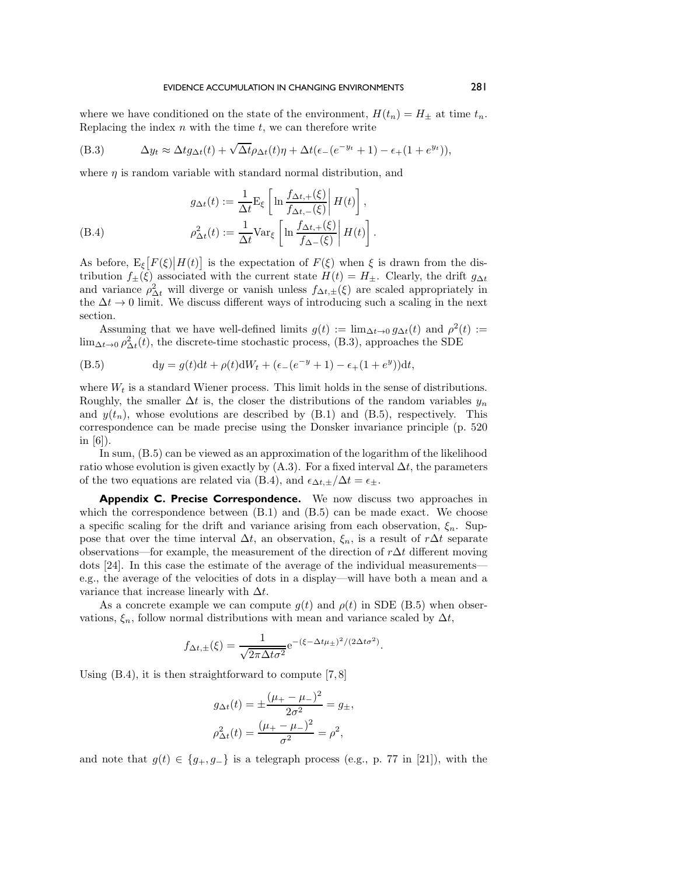where we have conditioned on the state of the environment,  $H(t_n) = H_{\pm}$  at time  $t_n$ . Replacing the index  $n$  with the time  $t$ , we can therefore write

(B.3) 
$$
\Delta y_t \approx \Delta t g_{\Delta t}(t) + \sqrt{\Delta t} \rho_{\Delta t}(t) \eta + \Delta t (\epsilon_-(e^{-y_t} + 1) - \epsilon_+(1 + e^{y_t})),
$$

where  $\eta$  is random variable with standard normal distribution, and

(B.4) 
$$
g_{\Delta t}(t) := \frac{1}{\Delta t} \mathbf{E}_{\xi} \left[ \ln \frac{f_{\Delta t,+}(\xi)}{f_{\Delta t,-}(\xi)} \middle| H(t) \right],
$$

$$
\rho_{\Delta t}^{2}(t) := \frac{1}{\Delta t} \text{Var}_{\xi} \left[ \ln \frac{f_{\Delta t,+}(\xi)}{f_{\Delta -}(\xi)} \middle| H(t) \right].
$$

As before,  $E_{\xi} [F(\xi) | H(t)]$  is the expectation of  $F(\xi)$  when  $\xi$  is drawn from the distribution  $f_{\pm}(\xi)$  associated with the current state  $H(t) = H_{\pm}$ . Clearly, the drift  $g_{\Delta t}$ and variance  $\rho_{\Delta t}^2$  will diverge or vanish unless  $f_{\Delta t,\pm}(\xi)$  are scaled appropriately in the  $\Delta t \rightarrow 0$  limit. We discuss different ways of introducing such a scaling in the next section.

Assuming that we have well-defined limits  $g(t) := \lim_{\Delta t \to 0} g_{\Delta t}(t)$  and  $\rho^2(t) :=$  $\lim_{\Delta t \to 0} \rho_{\Delta t}^2(t)$ , the discrete-time stochastic process, (B.3), approaches the SDE

(B.5) 
$$
dy = g(t)dt + \rho(t)dW_t + (\epsilon_-(e^{-y} + 1) - \epsilon_+(1 + e^y))dt,
$$

where  $W_t$  is a standard Wiener process. This limit holds in the sense of distributions. Roughly, the smaller  $\Delta t$  is, the closer the distributions of the random variables  $y_n$ and  $y(t_n)$ , whose evolutions are described by (B.1) and (B.5), respectively. This correspondence can be made precise using the Donsker invariance principle (p. 520 in  $[6]$ ).

In sum, (B.5) can be viewed as an approximation of the logarithm of the likelihood ratio whose evolution is given exactly by  $(A.3)$ . For a fixed interval  $\Delta t$ , the parameters of the two equations are related via (B.4), and  $\epsilon_{\Delta t,\pm}/\Delta t = \epsilon_{\pm}$ .

**Appendix C. Precise Correspondence.** We now discuss two approaches in which the correspondence between  $(B.1)$  and  $(B.5)$  can be made exact. We choose a specific scaling for the drift and variance arising from each observation,  $\xi_n$ . Suppose that over the time interval  $\Delta t$ , an observation,  $\xi_n$ , is a result of r $\Delta t$  separate observations—for example, the measurement of the direction of  $r\Delta t$  different moving dots [24]. In this case the estimate of the average of the individual measurements e.g., the average of the velocities of dots in a display—will have both a mean and a variance that increase linearly with  $\Delta t$ .

As a concrete example we can compute  $q(t)$  and  $\rho(t)$  in SDE (B.5) when observations,  $\xi_n$ , follow normal distributions with mean and variance scaled by  $\Delta t$ ,

$$
f_{\Delta t,\pm}(\xi) = \frac{1}{\sqrt{2\pi\Delta t\sigma^2}} e^{-(\xi - \Delta t\mu_{\pm})^2/(2\Delta t\sigma^2)}.
$$

Using  $(B.4)$ , it is then straightforward to compute  $[7, 8]$ 

$$
g_{\Delta t}(t) = \pm \frac{(\mu_{+} - \mu_{-})^2}{2\sigma^2} = g_{\pm},
$$
  

$$
\rho_{\Delta t}^2(t) = \frac{(\mu_{+} - \mu_{-})^2}{\sigma^2} = \rho^2,
$$

and note that  $g(t) \in \{g_+, g_-\}$  is a telegraph process (e.g., p. 77 in [21]), with the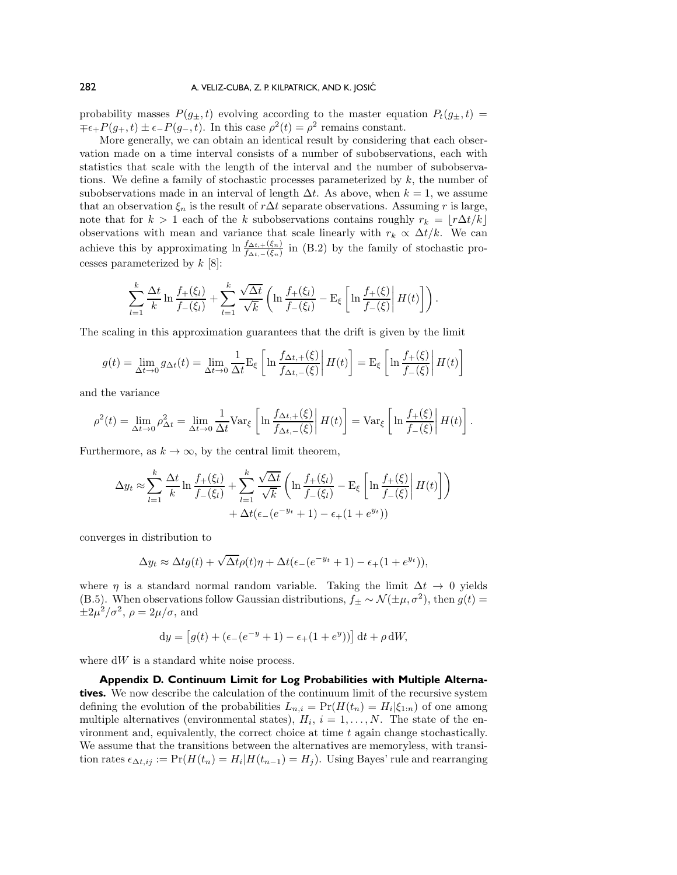probability masses  $P(g_{\pm}, t)$  evolving according to the master equation  $P_t(g_{\pm}, t)$  $\mp \epsilon_+ P(g_+, t) \pm \epsilon_- P(g_-, t)$ . In this case  $\rho^2(t) = \rho^2$  remains constant.

More generally, we can obtain an identical result by considering that each observation made on a time interval consists of a number of subobservations, each with statistics that scale with the length of the interval and the number of subobservations. We define a family of stochastic processes parameterized by  $k$ , the number of subobservations made in an interval of length  $\Delta t$ . As above, when  $k = 1$ , we assume that an observation  $\xi_n$  is the result of r $\Delta t$  separate observations. Assuming r is large, note that for  $k > 1$  each of the k subobservations contains roughly  $r_k = |r\Delta t/k|$ observations with mean and variance that scale linearly with  $r_k \propto \Delta t/k$ . We can achieve this by approximating  $\ln \frac{f_{\Delta t,+}(\xi_n)}{f_{\Delta t,-}(\xi_n)}$  in (B.2) by the family of stochastic processes parameterized by  $k$  [8]:

$$
\sum_{l=1}^k \frac{\Delta t}{k} \ln \frac{f_+(\xi_l)}{f_-(\xi_l)} + \sum_{l=1}^k \frac{\sqrt{\Delta t}}{\sqrt{k}} \left( \ln \frac{f_+(\xi_l)}{f_-(\xi_l)} - \mathbf{E}_{\xi} \left[ \ln \frac{f_+(\xi)}{f_-(\xi)} \middle| H(t) \right] \right).
$$

The scaling in this approximation guarantees that the drift is given by the limit

$$
g(t) = \lim_{\Delta t \to 0} g_{\Delta t}(t) = \lim_{\Delta t \to 0} \frac{1}{\Delta t} \mathbf{E}_{\xi} \left[ \ln \frac{f_{\Delta t, +}(\xi)}{f_{\Delta t, -}(\xi)} \middle| H(t) \right] = \mathbf{E}_{\xi} \left[ \ln \frac{f_{+}(\xi)}{f_{-}(\xi)} \middle| H(t) \right]
$$

and the variance

$$
\rho^{2}(t) = \lim_{\Delta t \to 0} \rho^{2}_{\Delta t} = \lim_{\Delta t \to 0} \frac{1}{\Delta t} \text{Var}_{\xi} \left[ \ln \frac{f_{\Delta t,+}(\xi)}{f_{\Delta t,-}(\xi)} \middle| H(t) \right] = \text{Var}_{\xi} \left[ \ln \frac{f_{+}(\xi)}{f_{-}(\xi)} \middle| H(t) \right].
$$

Furthermore, as  $k \to \infty$ , by the central limit theorem,

$$
\Delta y_t \approx \sum_{l=1}^k \frac{\Delta t}{k} \ln \frac{f_+(\xi_l)}{f_-(\xi_l)} + \sum_{l=1}^k \frac{\sqrt{\Delta t}}{\sqrt{k}} \left( \ln \frac{f_+(\xi_l)}{f_-(\xi_l)} - \mathbf{E}_{\xi} \left[ \ln \frac{f_+(\xi)}{f_-(\xi)} \right| H(t) \right) + \Delta t (\epsilon_-(e^{-y_t} + 1) - \epsilon_+(1 + e^{y_t}))
$$

converges in distribution to

$$
\Delta y_t \approx \Delta t g(t) + \sqrt{\Delta t} \rho(t) \eta + \Delta t (\epsilon_-(e^{-y_t} + 1) - \epsilon_+(1 + e^{y_t})),
$$

where  $\eta$  is a standard normal random variable. Taking the limit  $\Delta t \rightarrow 0$  yields (B.5). When observations follow Gaussian distributions,  $f_{\pm} \sim \mathcal{N}(\pm \mu, \sigma^2)$ , then  $g(t) =$  $\pm 2\mu^2/\sigma^2$ ,  $\rho = 2\mu/\sigma$ , and

$$
dy = [g(t) + (\epsilon_-(e^{-y} + 1) - \epsilon_+(1+e^y))] dt + \rho dW,
$$

where  $dW$  is a standard white noise process.

**Appendix D. Continuum Limit for Log Probabilities with Multiple Alternatives.** We now describe the calculation of the continuum limit of the recursive system defining the evolution of the probabilities  $L_{n,i} = Pr(H(t_n) = H_i | \xi_{1:n})$  of one among multiple alternatives (environmental states),  $H_i$ ,  $i = 1, \ldots, N$ . The state of the environment and, equivalently, the correct choice at time  $t$  again change stochastically. We assume that the transitions between the alternatives are memoryless, with transition rates  $\epsilon_{\Delta t,ij} := \Pr(H(t_n) = H_i | H(t_{n-1}) = H_j)$ . Using Bayes' rule and rearranging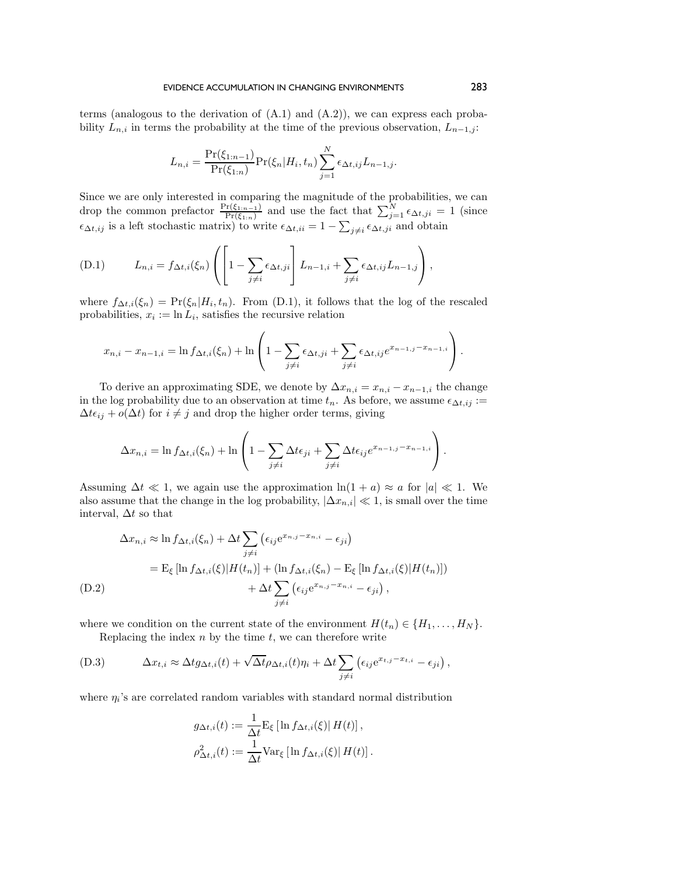terms (analogous to the derivation of  $(A.1)$  and  $(A.2)$ ), we can express each probability  $L_{n,i}$  in terms the probability at the time of the previous observation,  $L_{n-1,j}$ :

$$
L_{n,i} = \frac{\Pr(\xi_{1:n-1})}{\Pr(\xi_{1:n})} \Pr(\xi_n | H_i, t_n) \sum_{j=1}^N \epsilon_{\Delta t, ij} L_{n-1,j}.
$$

Since we are only interested in comparing the magnitude of the probabilities, we can drop the common prefactor  $\frac{\Pr(\xi_{1:n}-1)}{\Pr(\xi_{1:n})}$  and use the fact that  $\sum_{j=1}^{N} \epsilon_{\Delta t,ji} = 1$  (since  $\epsilon_{\Delta t,ij}$  is a left stochastic matrix) to write  $\epsilon_{\Delta t,ii} = 1 - \sum_{j\neq i} \epsilon_{\Delta t,ji}$  and obtain

(D.1) 
$$
L_{n,i} = f_{\Delta t,i}(\xi_n) \left( \left[ 1 - \sum_{j \neq i} \epsilon_{\Delta t,ji} \right] L_{n-1,i} + \sum_{j \neq i} \epsilon_{\Delta t,ij} L_{n-1,j} \right),
$$

where  $f_{\Delta t,i}(\xi_n) = \Pr(\xi_n|H_i,t_n)$ . From (D.1), it follows that the log of the rescaled probabilities,  $x_i := \ln L_i$ , satisfies the recursive relation

$$
x_{n,i} - x_{n-1,i} = \ln f_{\Delta t,i}(\xi_n) + \ln \left( 1 - \sum_{j \neq i} \epsilon_{\Delta t,ji} + \sum_{j \neq i} \epsilon_{\Delta t,ij} e^{x_{n-1,j} - x_{n-1,i}} \right).
$$

To derive an approximating SDE, we denote by  $\Delta x_{n,i} = x_{n,i} - x_{n-1,i}$  the change in the log probability due to an observation at time  $t_n$ . As before, we assume  $\epsilon_{\Delta t,ij} :=$  $\Delta t \epsilon_{ij} + o(\Delta t)$  for  $i \neq j$  and drop the higher order terms, giving

$$
\Delta x_{n,i} = \ln f_{\Delta t,i}(\xi_n) + \ln \left( 1 - \sum_{j \neq i} \Delta t \epsilon_{ji} + \sum_{j \neq i} \Delta t \epsilon_{ij} e^{x_{n-1,j} - x_{n-1,i}} \right).
$$

Assuming  $\Delta t \ll 1$ , we again use the approximation  $\ln(1 + a) \approx a$  for  $|a| \ll 1$ . We also assume that the change in the log probability,  $|\Delta x_{n,i}| \ll 1$ , is small over the time interval,  $\Delta t$  so that

$$
\Delta x_{n,i} \approx \ln f_{\Delta t,i}(\xi_n) + \Delta t \sum_{j \neq i} \left( \epsilon_{ij} e^{x_{n,j} - x_{n,i}} - \epsilon_{ji} \right)
$$
  
= 
$$
E_{\xi} [\ln f_{\Delta t,i}(\xi)|H(t_n)] + (\ln f_{\Delta t,i}(\xi_n) - E_{\xi} [\ln f_{\Delta t,i}(\xi)|H(t_n)] )
$$
  
(D.2)  

$$
+ \Delta t \sum_{j \neq i} \left( \epsilon_{ij} e^{x_{n,j} - x_{n,i}} - \epsilon_{ji} \right),
$$

where we condition on the current state of the environment  $H(t_n) \in \{H_1, \ldots, H_N\}$ . Replacing the index  $n$  by the time  $t$ , we can therefore write

(D.3) 
$$
\Delta x_{t,i} \approx \Delta t g_{\Delta t,i}(t) + \sqrt{\Delta t} \rho_{\Delta t,i}(t) \eta_i + \Delta t \sum_{j \neq i} \left( \epsilon_{ij} e^{x_{t,j} - x_{t,i}} - \epsilon_{ji} \right),
$$

where  $\eta_i$ 's are correlated random variables with standard normal distribution

$$
g_{\Delta t,i}(t) := \frac{1}{\Delta t} \mathbf{E}_{\xi} \left[ \ln f_{\Delta t,i}(\xi) | H(t) \right],
$$
  

$$
\rho_{\Delta t,i}^2(t) := \frac{1}{\Delta t} \text{Var}_{\xi} \left[ \ln f_{\Delta t,i}(\xi) | H(t) \right].
$$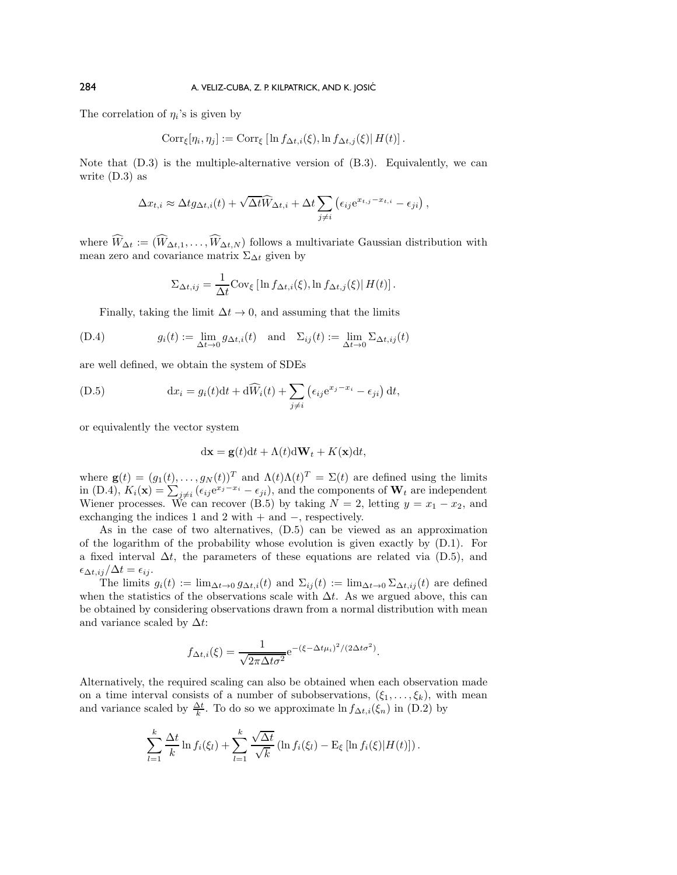The correlation of  $\eta_i$ 's is given by

$$
Corr_{\xi}[\eta_i, \eta_j] := Corr_{\xi} [\ln f_{\Delta t, i}(\xi), \ln f_{\Delta t, j}(\xi) | H(t)].
$$

Note that  $(D.3)$  is the multiple-alternative version of  $(B.3)$ . Equivalently, we can write (D.3) as

$$
\Delta x_{t,i} \approx \Delta t g_{\Delta t,i}(t) + \sqrt{\Delta t} \widehat{W}_{\Delta t,i} + \Delta t \sum_{j \neq i} \left( \epsilon_{ij} e^{x_{t,j} - x_{t,i}} - \epsilon_{ji} \right),
$$

where  $W_{\Delta t} := (W_{\Delta t,1}, \ldots, W_{\Delta t,N})$  follows a multivariate Gaussian distribution with mean zero and covariance matrix  $\Sigma_{\Delta t}$  given by

$$
\Sigma_{\Delta t, ij} = \frac{1}{\Delta t} \text{Cov}_{\xi} \left[ \ln f_{\Delta t, i}(\xi), \ln f_{\Delta t, j}(\xi) \right] H(t) ].
$$

Finally, taking the limit  $\Delta t \rightarrow 0$ , and assuming that the limits

(D.4) 
$$
g_i(t) := \lim_{\Delta t \to 0} g_{\Delta t, i}(t) \text{ and } \Sigma_{ij}(t) := \lim_{\Delta t \to 0} \Sigma_{\Delta t, ij}(t)
$$

are well defined, we obtain the system of SDEs

(D.5) 
$$
dx_i = g_i(t)dt + d\widehat{W}_i(t) + \sum_{j \neq i} \left(\epsilon_{ij} e^{x_j - x_i} - \epsilon_{ji}\right) dt,
$$

or equivalently the vector system

$$
d\mathbf{x} = \mathbf{g}(t)dt + \Lambda(t)d\mathbf{W}_t + K(\mathbf{x})dt,
$$

where  $\mathbf{g}(t)=(g_1(t),\ldots,g_N(t))^T$  and  $\Lambda(t)\Lambda(t)^T = \Sigma(t)$  are defined using the limits in (D.4),  $K_i(\mathbf{x}) = \sum_{j \neq i} (\epsilon_{ij} e^{x_j - x_i} - \epsilon_{ji})$ , and the components of  $\mathbf{W}_t$  are independent<br>Wiener processes We can recover (B.5) by taking  $N = 2$  letting  $y = x_i - x_0$  and Wiener processes. We can recover (B.5) by taking  $N = 2$ , letting  $y = x_1 - x_2$ , and exchanging the indices 1 and 2 with  $+$  and  $-$ , respectively.

As in the case of two alternatives, (D.5) can be viewed as an approximation of the logarithm of the probability whose evolution is given exactly by  $(D.1)$ . For a fixed interval  $\Delta t$ , the parameters of these equations are related via (D.5), and  $\epsilon_{\Delta t,ij}/\Delta t = \epsilon_{ij}$ .

The limits  $g_i(t) := \lim_{\Delta t \to 0} g_{\Delta t,i}(t)$  and  $\Sigma_{ij}(t) := \lim_{\Delta t \to 0} \Sigma_{\Delta t,i,j}(t)$  are defined when the statistics of the observations scale with  $\Delta t$ . As we argued above, this can be obtained by considering observations drawn from a normal distribution with mean and variance scaled by  $\Delta t$ :

$$
f_{\Delta t,i}(\xi) = \frac{1}{\sqrt{2\pi\Delta t\sigma^2}} e^{-(\xi - \Delta t\mu_i)^2/(2\Delta t\sigma^2)}.
$$

Alternatively, the required scaling can also be obtained when each observation made on a time interval consists of a number of subobservations,  $(\xi_1,\ldots,\xi_k)$ , with mean and variance scaled by  $\frac{\Delta t}{k}$ . To do so we approximate  $\ln f_{\Delta t,i}(\xi_n)$  in  $(D.2)$  by

$$
\sum_{l=1}^k \frac{\Delta t}{k} \ln f_i(\xi_l) + \sum_{l=1}^k \frac{\sqrt{\Delta t}}{\sqrt{k}} \left( \ln f_i(\xi_l) - \mathbf{E}_{\xi} \left[ \ln f_i(\xi) | H(t) \right] \right).
$$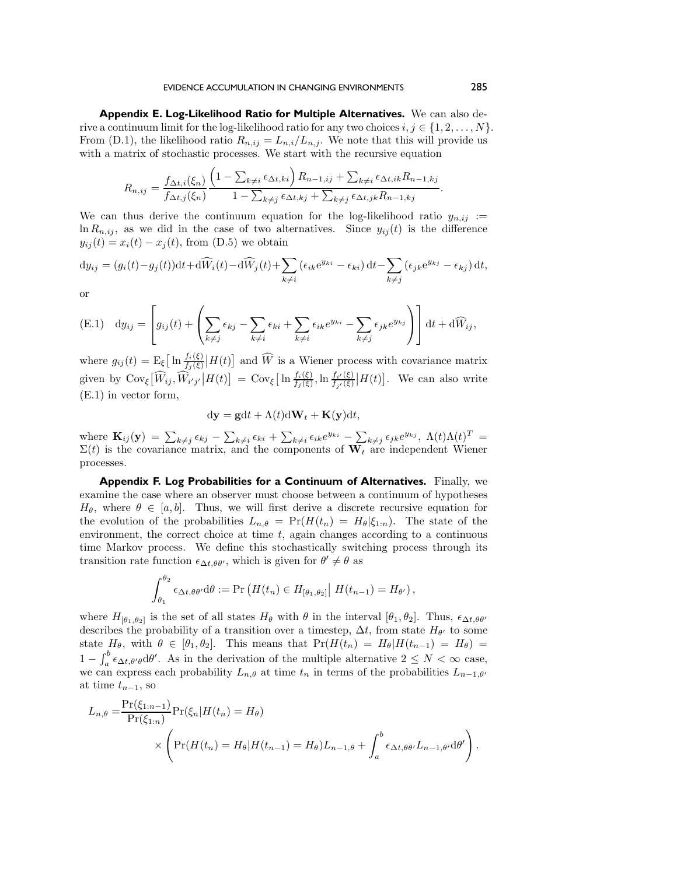**Appendix E. Log-Likelihood Ratio for Multiple Alternatives.** We can also derive a continuum limit for the log-likelihood ratio for any two choices  $i, j \in \{1, 2, ..., N\}$ . From (D.1), the likelihood ratio  $R_{n,ij} = L_{n,i}/L_{n,j}$ . We note that this will provide us with a matrix of stochastic processes. We start with the recursive equation

$$
R_{n,ij} = \frac{f_{\Delta t,i}(\xi_n)}{f_{\Delta t,j}(\xi_n)} \frac{\left(1 - \sum_{k \neq i} \epsilon_{\Delta t,ki}\right) R_{n-1,ij} + \sum_{k \neq i} \epsilon_{\Delta t,ik} R_{n-1,kj}}{1 - \sum_{k \neq j} \epsilon_{\Delta t,kj} + \sum_{k \neq j} \epsilon_{\Delta t,jk} R_{n-1,kj}}
$$

We can thus derive the continuum equation for the log-likelihood ratio  $y_{n,ij} :=$  $\ln R_{n,ij}$ , as we did in the case of two alternatives. Since  $y_{ij}(t)$  is the difference  $y_{ij}(t) = x_i(t) - x_j(t)$ , from (D.5) we obtain

$$
\mathrm{d}y_{ij} = (g_i(t) - g_j(t))\mathrm{d}t + \mathrm{d}\widehat{W}_i(t) - \mathrm{d}\widehat{W}_j(t) + \sum_{k \neq i} \left(\epsilon_{ik} e^{y_{ki}} - \epsilon_{ki}\right) \mathrm{d}t - \sum_{k \neq j} \left(\epsilon_{jk} e^{y_{kj}} - \epsilon_{kj}\right) \mathrm{d}t,
$$

or

$$
\text{(E.1)} \quad \mathrm{d}y_{ij} = \left[g_{ij}(t) + \left(\sum_{k\neq j} \epsilon_{kj} - \sum_{k\neq i} \epsilon_{ki} + \sum_{k\neq i} \epsilon_{ik} e^{y_{ki}} - \sum_{k\neq j} \epsilon_{jk} e^{y_{kj}}\right)\right] \mathrm{d}t + \mathrm{d}\widehat{W}_{ij},
$$

where  $g_{ij}(t) = \mathbb{E}_{\xi} \left[ \ln \frac{f_i(\xi)}{f_j(\xi)} \middle| H(t) \right]$  and  $\widehat{W}$  is a Wiener process with covariance matrix given by  $\text{Cov}_{\xi}[\widehat{W}_{ij}, \widehat{W}_{i'j'} | H(t)] = \text{Cov}_{\xi}[\ln \frac{f_i(\xi)}{f_j(\xi)}, \ln \frac{f_{i'}(\xi)}{f_{j'}(\xi)} | H(t)]$ . We can also write (E.1) in vector form,

$$
d\mathbf{y} = \mathbf{g}dt + \Lambda(t)d\mathbf{W}_t + \mathbf{K}(\mathbf{y})dt,
$$

where  $\mathbf{K}_{ij}(\mathbf{y}) = \sum_{k \neq j} \epsilon_{kj} - \sum_{k \neq i} \epsilon_{ki} + \sum_{k \neq i} \epsilon_{ik} e^{y_{ki}} - \sum_{k \neq j} \epsilon_{jk} e^{y_{kj}}, \ \Lambda(t) \Lambda(t)^T = \Sigma(t)$  is the covariance matrix, and the components of  $\mathbf{W}_i$  are independent Wiener  $\Sigma(t)$  is the covariance matrix, and the components of  $W_t$  are independent Wiener processes.

**Appendix F. Log Probabilities for a Continuum of Alternatives.** Finally, we examine the case where an observer must choose between a continuum of hypotheses  $H_{\theta}$ , where  $\theta \in [a, b]$ . Thus, we will first derive a discrete recursive equation for the evolution of the probabilities  $L_{n,\theta} = \Pr(H(t_n) = H_\theta | \xi_{1:n})$ . The state of the environment, the correct choice at time  $t$ , again changes according to a continuous time Markov process. We define this stochastically switching process through its transition rate function  $\epsilon_{\Delta t, \theta \theta}$ , which is given for  $\theta' \neq \theta$  as

$$
\int_{\theta_1}^{\theta_2} \epsilon_{\Delta t, \theta \theta'} d\theta := \Pr\left(H(t_n) \in H_{[\theta_1, \theta_2]} \middle| H(t_{n-1}) = H_{\theta'}\right),
$$

where  $H_{\lbrack \theta_1,\theta_2\rbrack}$  is the set of all states  $H_{\theta}$  with  $\theta$  in the interval  $[\theta_1,\theta_2]$ . Thus,  $\epsilon_{\Delta t,\theta\theta'}$ describes the probability of a transition over a timestep,  $\Delta t$ , from state  $H_{\theta'}$  to some state  $H_{\theta}$ , with  $\theta \in [\theta_1, \theta_2]$ . This means that  $Pr(H(t_n) = H_{\theta}|H(t_{n-1}) = H_{\theta})$  $1 - \int_a^b \epsilon_{\Delta t, \theta} \theta d\theta'$ . As in the derivation of the multiple alternative  $2 \leq N < \infty$  case, we can express each probability  $L_{n,\theta}$  at time  $t_n$  in terms of the probabilities  $L_{n-1,\theta'}$ at time  $t_{n-1}$ , so

$$
L_{n,\theta} = \frac{\Pr(\xi_{1:n-1})}{\Pr(\xi_{1:n})} \Pr(\xi_n | H(t_n) = H_{\theta})
$$
  
\$\times \left( \Pr(H(t\_n) = H\_{\theta} | H(t\_{n-1}) = H\_{\theta}) L\_{n-1,\theta} + \int\_a^b \epsilon\_{\Delta t, \theta \theta'} L\_{n-1, \theta'} d\theta' \right)\$

.

.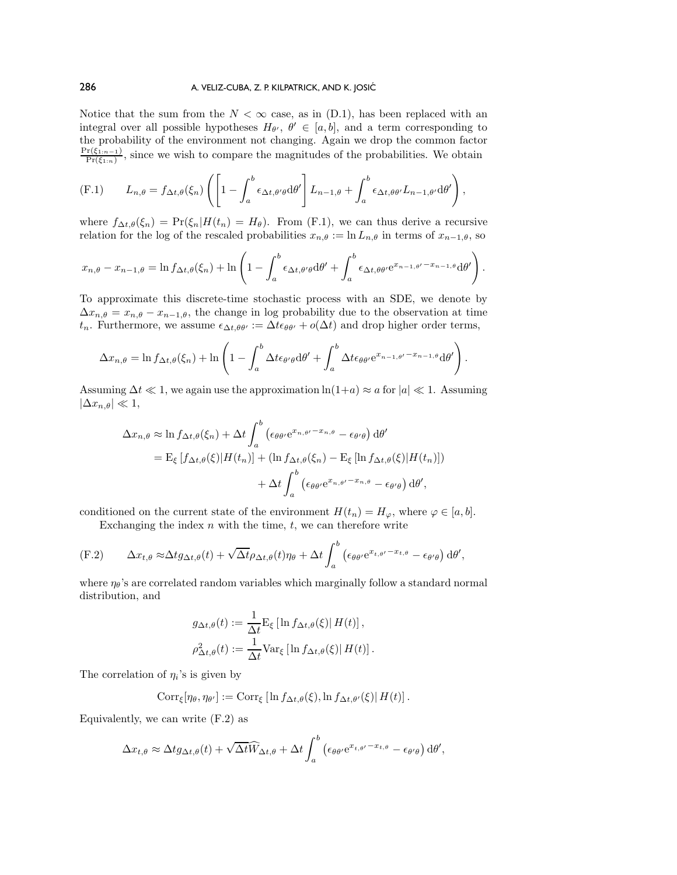Notice that the sum from the  $N < \infty$  case, as in (D.1), has been replaced with an integral over all possible hypotheses  $H_{\theta}$ ,  $\theta' \in [a, b]$ , and a term corresponding to the probability of the environment not changing. Again we drop the common factor  $\frac{\Pr(\xi_{1:n-1})}{\Pr(\xi_{1:n})}$ , since we wish to compare the magnitudes of the probabilities. We obtain

(F.1) 
$$
L_{n,\theta} = f_{\Delta t,\theta}(\xi_n) \left( \left[ 1 - \int_a^b \epsilon_{\Delta t,\theta'\theta} d\theta' \right] L_{n-1,\theta} + \int_a^b \epsilon_{\Delta t,\theta\theta'} L_{n-1,\theta'} d\theta' \right),
$$

where  $f_{\Delta t,\theta}(\xi_n) = \Pr(\xi_n|H(t_n) = H_\theta)$ . From (F.1), we can thus derive a recursive relation for the log of the rescaled probabilities  $x_{n,\theta} := \ln L_{n,\theta}$  in terms of  $x_{n-1,\theta}$ , so

$$
x_{n,\theta} - x_{n-1,\theta} = \ln f_{\Delta t,\theta}(\xi_n) + \ln \left( 1 - \int_a^b \epsilon_{\Delta t,\theta'} \theta \, d\theta' + \int_a^b \epsilon_{\Delta t,\theta} \theta' e^{x_{n-1,\theta'} - x_{n-1,\theta}} \, d\theta' \right).
$$

To approximate this discrete-time stochastic process with an SDE, we denote by  $\Delta x_{n,\theta} = x_{n,\theta} - x_{n-1,\theta}$ , the change in log probability due to the observation at time  $t_n$ . Furthermore, we assume  $\epsilon_{\Delta t,\theta\theta'} := \Delta t \epsilon_{\theta\theta'} + o(\Delta t)$  and drop higher order terms,

$$
\Delta x_{n,\theta} = \ln f_{\Delta t,\theta}(\xi_n) + \ln \left( 1 - \int_a^b \Delta t \epsilon_{\theta'\theta} \mathrm{d}\theta' + \int_a^b \Delta t \epsilon_{\theta\theta'} \mathrm{e}^{x_{n-1,\theta'} - x_{n-1,\theta}} \mathrm{d}\theta' \right).
$$

Assuming  $\Delta t \ll 1$ , we again use the approximation  $\ln(1+a) \approx a$  for  $|a| \ll 1$ . Assuming  $|\Delta x_{n,\theta}| \ll 1,$ 

$$
\Delta x_{n,\theta} \approx \ln f_{\Delta t,\theta}(\xi_n) + \Delta t \int_a^b \left( \epsilon_{\theta\theta'} e^{x_{n,\theta'} - x_{n,\theta}} - \epsilon_{\theta'\theta} \right) d\theta'
$$
  
=  $E_{\xi} \left[ f_{\Delta t,\theta}(\xi) | H(t_n) \right] + \left( \ln f_{\Delta t,\theta}(\xi_n) - E_{\xi} \left[ \ln f_{\Delta t,\theta}(\xi) | H(t_n) \right] \right)$   
+  $\Delta t \int_a^b \left( \epsilon_{\theta\theta'} e^{x_{n,\theta'} - x_{n,\theta}} - \epsilon_{\theta'\theta} \right) d\theta',$ 

conditioned on the current state of the environment  $H(t_n) = H_{\varphi}$ , where  $\varphi \in [a, b]$ . Exchanging the index  $n$  with the time,  $t$ , we can therefore write

(F.2) 
$$
\Delta x_{t,\theta} \approx \Delta t g_{\Delta t,\theta}(t) + \sqrt{\Delta t} \rho_{\Delta t,\theta}(t) \eta_{\theta} + \Delta t \int_a^b \left( \epsilon_{\theta \theta'} e^{x_{t,\theta'} - x_{t,\theta}} - \epsilon_{\theta' \theta} \right) d\theta',
$$

where  $\eta_{\theta}$ 's are correlated random variables which marginally follow a standard normal distribution, and

$$
g_{\Delta t,\theta}(t) := \frac{1}{\Delta t} \mathbf{E}_{\xi} [\ln f_{\Delta t,\theta}(\xi) | H(t)],
$$
  

$$
\rho_{\Delta t,\theta}^2(t) := \frac{1}{\Delta t} \text{Var}_{\xi} [\ln f_{\Delta t,\theta}(\xi) | H(t)].
$$

The correlation of  $\eta_i$ 's is given by

$$
Corr_{\xi}[\eta_{\theta}, \eta_{\theta'}] := Corr_{\xi} [\ln f_{\Delta t, \theta}(\xi), \ln f_{\Delta t, \theta'}(\xi) | H(t)].
$$

Equivalently, we can write  $(F.2)$  as

$$
\Delta x_{t,\theta} \approx \Delta t g_{\Delta t,\theta}(t) + \sqrt{\Delta t} \widehat{W}_{\Delta t,\theta} + \Delta t \int_a^b \left( \epsilon_{\theta\theta'} e^{x_{t,\theta'} - x_{t,\theta}} - \epsilon_{\theta'\theta} \right) d\theta',
$$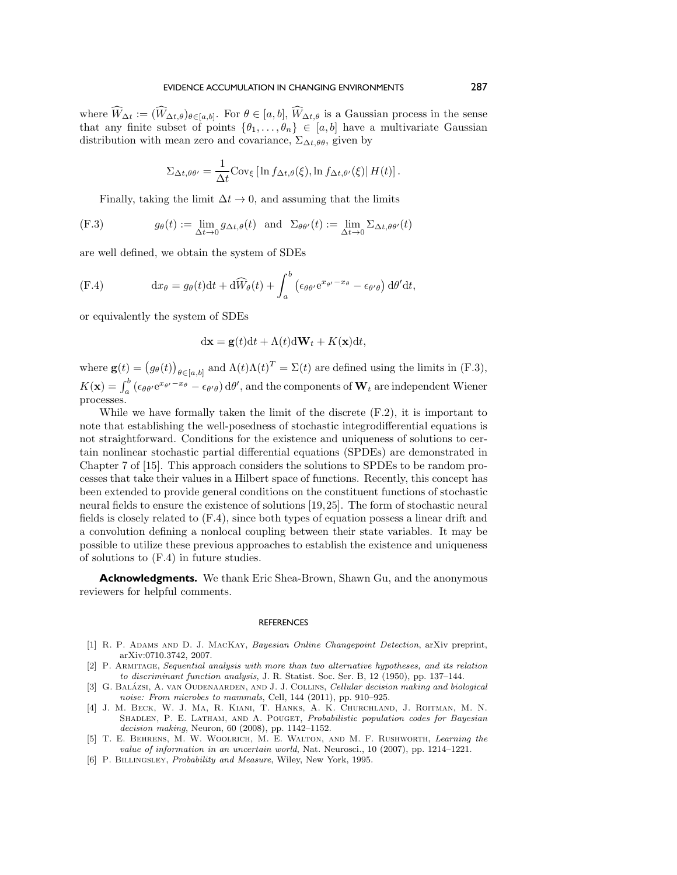where  $W_{\Delta t} := (W_{\Delta t, \theta})_{\theta \in [a, b]}$ . For  $\theta \in [a, b]$ ,  $W_{\Delta t, \theta}$  is a Gaussian process in the sense that any finite subset of points  $\{\theta_1,\ldots,\theta_n\} \in [a,b]$  have a multivariate Gaussian distribution with mean zero and covariance,  $\Sigma_{\Delta t,\theta\theta}$ , given by

$$
\Sigma_{\Delta t, \theta \theta'} = \frac{1}{\Delta t} \text{Cov}_{\xi} \left[ \ln f_{\Delta t, \theta}(\xi), \ln f_{\Delta t, \theta'}(\xi) \right] H(t) ].
$$

Finally, taking the limit  $\Delta t \rightarrow 0$ , and assuming that the limits

$$
\text{(F.3)} \quad g_{\theta}(t) := \lim_{\Delta t \to 0} g_{\Delta t, \theta}(t) \quad \text{and} \quad \Sigma_{\theta \theta'}(t) := \lim_{\Delta t \to 0} \Sigma_{\Delta t, \theta \theta'}(t)
$$

are well defined, we obtain the system of SDEs

(F.4) 
$$
\mathrm{d}x_{\theta} = g_{\theta}(t)\mathrm{d}t + \mathrm{d}\widehat{W}_{\theta}(t) + \int_{a}^{b} \left(\epsilon_{\theta\theta'}e^{x_{\theta'}-x_{\theta}} - \epsilon_{\theta'\theta}\right) \mathrm{d}\theta'\mathrm{d}t,
$$

or equivalently the system of SDEs

$$
d\mathbf{x} = \mathbf{g}(t)dt + \Lambda(t)d\mathbf{W}_t + K(\mathbf{x})dt,
$$

where  $\mathbf{g}(t) = (g_{\theta}(t))_{\theta \in [a,b]}$  and  $\Lambda(t)\Lambda(t)^{T} = \Sigma(t)$  are defined using the limits in (F.3),  $K(\mathbf{x}) = \int_a^b (\epsilon_{\theta\theta'}e^{x_{\theta'}-x_{\theta}} - \epsilon_{\theta'\theta}) d\theta'$ , and the components of  $\mathbf{W}_t$  are independent Wiener processes.

While we have formally taken the limit of the discrete (F.2), it is important to note that establishing the well-posedness of stochastic integrodifferential equations is not straightforward. Conditions for the existence and uniqueness of solutions to certain nonlinear stochastic partial differential equations (SPDEs) are demonstrated in Chapter 7 of [15]. This approach considers the solutions to SPDEs to be random processes that take their values in a Hilbert space of functions. Recently, this concept has been extended to provide general conditions on the constituent functions of stochastic neural fields to ensure the existence of solutions [19,25]. The form of stochastic neural fields is closely related to (F.4), since both types of equation possess a linear drift and a convolution defining a nonlocal coupling between their state variables. It may be possible to utilize these previous approaches to establish the existence and uniqueness of solutions to (F.4) in future studies.

**Acknowledgments.** We thank Eric Shea-Brown, Shawn Gu, and the anonymous reviewers for helpful comments.

## **REFERENCES**

- [1] R. P. Adams and D. J. MacKay, Bayesian Online Changepoint Detection, arXiv preprint, [arXiv:0710.3742,](http://arxiv.org/abs/0710.3742) 2007.
- [2] P. Armitage, Sequential analysis with more than two alternative hypotheses, and its relation to discriminant function analysis, J. R. Statist. Soc. Ser. B, 12 (1950), pp. 137–144.
- [3] G. BALÁZSI, A. VAN OUDENAARDEN, AND J. J. COLLINS, Cellular decision making and biological noise: From microbes to mammals, Cell, 144 (2011), pp. 910–925.
- [4] J. M. Beck, W. J. Ma, R. Kiani, T. Hanks, A. K. Churchland, J. Roitman, M. N. SHADLEN, P. E. LATHAM, AND A. POUGET, Probabilistic population codes for Bayesian decision making, Neuron, 60 (2008), pp. 1142–1152.
- [5] T. E. Behrens, M. W. Woolrich, M. E. Walton, and M. F. Rushworth, Learning the value of information in an uncertain world, Nat. Neurosci., 10 (2007), pp. 1214–1221.
- [6] P. BILLINGSLEY, Probability and Measure, Wiley, New York, 1995.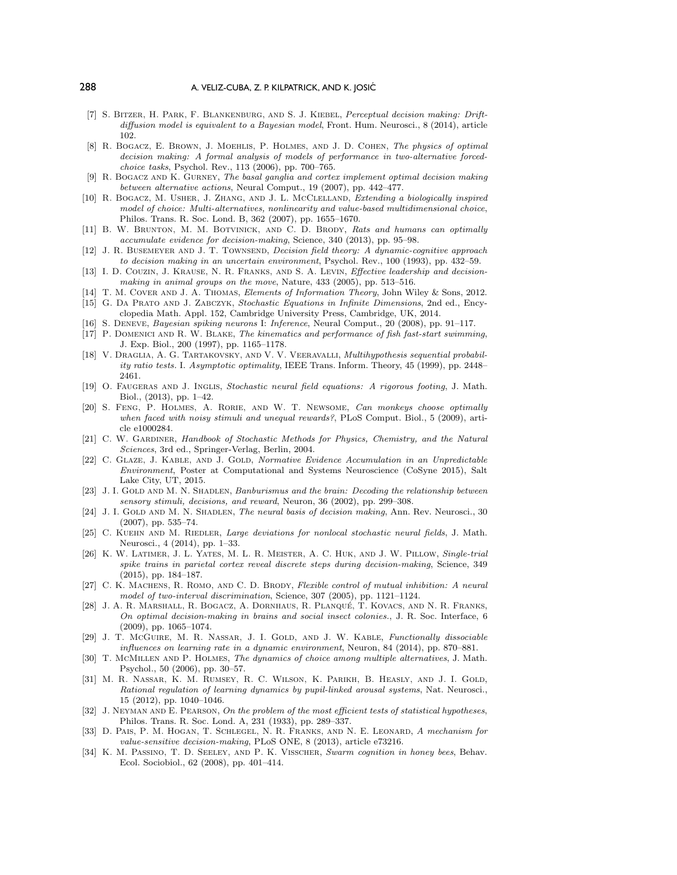## 288 A. VELIZ-CUBA, Z. P. KILPATRICK, AND K. JOSIC´

- [7] S. Bitzer, H. Park, F. Blankenburg, and S. J. Kiebel, Perceptual decision making: Driftdiffusion model is equivalent to a Bayesian model, Front. Hum. Neurosci., 8 (2014), article 102.
- [8] R. Bogacz, E. Brown, J. Moehlis, P. Holmes, AND J. D. Cohen, The physics of optimal decision making: A formal analysis of models of performance in two-alternative forcedchoice tasks, Psychol. Rev., 113 (2006), pp. 700–765.
- [9] R. BOGACZ AND K. GURNEY, The basal ganglia and cortex implement optimal decision making between alternative actions, Neural Comput., 19 (2007), pp. 442–477.
- [10] R. Bogacz, M. Usher, J. Zhang, and J. L. McClelland, Extending a biologically inspired model of choice: Multi-alternatives, nonlinearity and value-based multidimensional choice, Philos. Trans. R. Soc. Lond. B, 362 (2007), pp. 1655–1670.
- [11] B. W. BRUNTON, M. M. BOTVINICK, AND C. D. BRODY, Rats and humans can optimally accumulate evidence for decision-making, Science, 340 (2013), pp. 95–98.
- [12] J. R. BUSEMEYER AND J. T. TOWNSEND, *Decision field theory: A dynamic-cognitive approach* to decision making in an uncertain environment, Psychol. Rev., 100 (1993), pp. 432–59.
- [13] I. D. Couzin, J. Krause, N. R. Franks, and S. A. Levin, Effective leadership and decisionmaking in animal groups on the move, Nature, 433 (2005), pp. 513–516.
- [14] T. M. Cover and J. A. Thomas, Elements of Information Theory, John Wiley & Sons, 2012.
- [15] G. Da Prato and J. Zabczyk, Stochastic Equations in Infinite Dimensions, 2nd ed., Encyclopedia Math. Appl. 152, Cambridge University Press, Cambridge, UK, 2014.
- [16] S. Deneve, Bayesian spiking neurons I: Inference, Neural Comput., 20 (2008), pp. 91–117.
- [17] P. Domenici and R. W. Blake, The kinematics and performance of fish fast-start swimming, J. Exp. Biol., 200 (1997), pp. 1165–1178.
- [18] V. Draglia, A. G. Tartakovsky, and V. V. Veeravalli, Multihypothesis sequential probability ratio tests. I. Asymptotic optimality, IEEE Trans. Inform. Theory, 45 (1999), pp. 2448– 2461.
- [19] O. Faugeras and J. Inglis, Stochastic neural field equations: A rigorous footing, J. Math. Biol., (2013), pp. 1–42.
- [20] S. Feng, P. Holmes, A. Rorie, and W. T. Newsome, Can monkeys choose optimally when faced with noisy stimuli and unequal rewards?, PLoS Comput. Biol., 5 (2009), article e1000284.
- [21] C. W. GARDINER, Handbook of Stochastic Methods for Physics, Chemistry, and the Natural Sciences, 3rd ed., Springer-Verlag, Berlin, 2004.
- [22] C. GLAZE, J. KABLE, AND J. GOLD, Normative Evidence Accumulation in an Unpredictable Environment, Poster at Computational and Systems Neuroscience (CoSyne 2015), Salt Lake City, UT, 2015.
- [23] J. I. GOLD AND M. N. SHADLEN, Banburismus and the brain: Decoding the relationship between sensory stimuli, decisions, and reward, Neuron, 36 (2002), pp. 299–308.
- [24] J. I. GOLD AND M. N. SHADLEN, The neural basis of decision making, Ann. Rev. Neurosci., 30 (2007), pp. 535–74.
- [25] C. KUEHN AND M. RIEDLER, Large deviations for nonlocal stochastic neural fields, J. Math. Neurosci., 4 (2014), pp. 1–33.
- [26] K. W. Latimer, J. L. Yates, M. L. R. Meister, A. C. Huk, and J. W. Pillow, Single-trial spike trains in parietal cortex reveal discrete steps during decision-making, Science, 349 (2015), pp. 184–187.
- [27] C. K. Machens, R. Romo, and C. D. Brody, Flexible control of mutual inhibition: A neural model of two-interval discrimination, Science, 307 (2005), pp. 1121–1124.
- [28] J. A. R. MARSHALL, R. BOGACZ, A. DORNHAUS, R. PLANQUÉ, T. KOVACS, AND N. R. FRANKS, On optimal decision-making in brains and social insect colonies., J. R. Soc. Interface, 6 (2009), pp. 1065–1074.
- [29] J. T. McGuire, M. R. Nassar, J. I. Gold, and J. W. Kable, Functionally dissociable influences on learning rate in a dynamic environment, Neuron, 84 (2014), pp. 870–881.
- [30] T. MCMILLEN AND P. HOLMES, The dynamics of choice among multiple alternatives, J. Math. Psychol., 50 (2006), pp. 30–57.
- [31] M. R. Nassar, K. M. Rumsey, R. C. Wilson, K. Parikh, B. Heasly, and J. I. Gold, Rational regulation of learning dynamics by pupil-linked arousal systems, Nat. Neurosci., 15 (2012), pp. 1040–1046.
- [32] J. NEYMAN AND E. PEARSON, On the problem of the most efficient tests of statistical hypotheses, Philos. Trans. R. Soc. Lond. A, 231 (1933), pp. 289–337.
- [33] D. Pais, P. M. HOGAN, T. SCHLEGEL, N. R. FRANKS, AND N. E. LEONARD, A mechanism for value-sensitive decision-making, PLoS ONE, 8 (2013), article e73216.
- [34] K. M. Passino, T. D. Seeley, and P. K. Visscher, Swarm cognition in honey bees, Behav. Ecol. Sociobiol., 62 (2008), pp. 401–414.